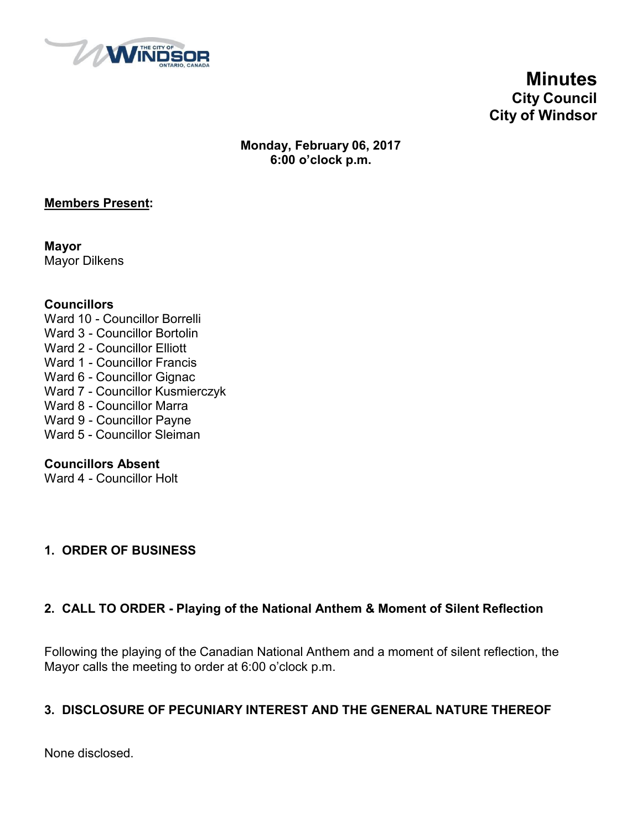

**Minutes City Council City of Windsor**

**Monday, February 06, 2017 6:00 o'clock p.m.**

#### **Members Present:**

**Mayor** Mayor Dilkens

#### **Councillors**

- Ward 10 Councillor Borrelli
- Ward 3 Councillor Bortolin
- Ward 2 Councillor Elliott
- Ward 1 Councillor Francis
- Ward 6 Councillor Gignac
- Ward 7 Councillor Kusmierczyk
- Ward 8 Councillor Marra
- Ward 9 Councillor Payne
- Ward 5 Councillor Sleiman

#### **Councillors Absent**

Ward 4 - Councillor Holt

#### **1. ORDER OF BUSINESS**

#### **2. CALL TO ORDER - Playing of the National Anthem & Moment of Silent Reflection**

Following the playing of the Canadian National Anthem and a moment of silent reflection, the Mayor calls the meeting to order at 6:00 o'clock p.m.

#### **3. DISCLOSURE OF PECUNIARY INTEREST AND THE GENERAL NATURE THEREOF**

None disclosed.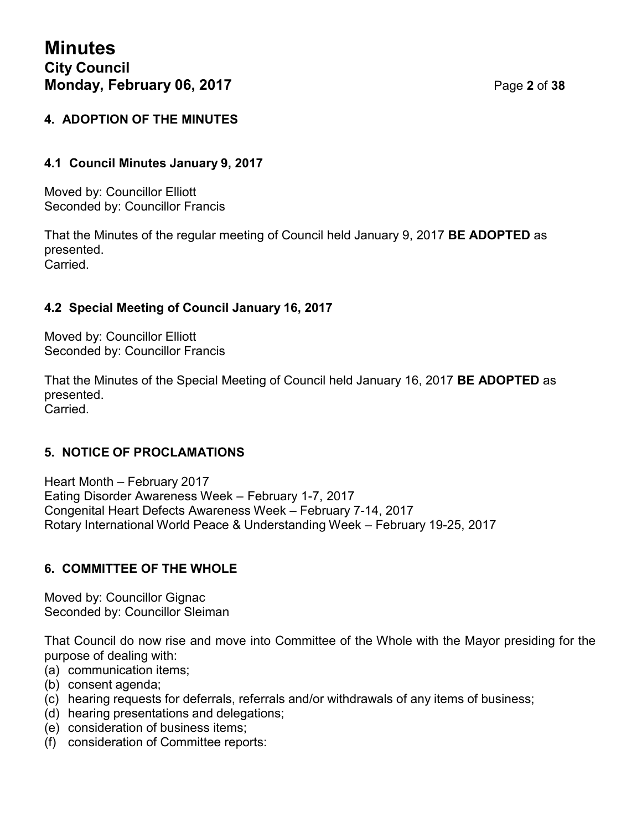### **4. ADOPTION OF THE MINUTES**

#### **4.1 Council Minutes January 9, 2017**

Moved by: Councillor Elliott Seconded by: Councillor Francis

That the Minutes of the regular meeting of Council held January 9, 2017 **BE ADOPTED** as presented. **Carried** 

#### **4.2 Special Meeting of Council January 16, 2017**

Moved by: Councillor Elliott Seconded by: Councillor Francis

That the Minutes of the Special Meeting of Council held January 16, 2017 **BE ADOPTED** as presented. Carried.

#### **5. NOTICE OF PROCLAMATIONS**

Heart Month – February 2017 Eating Disorder Awareness Week – February 1-7, 2017 Congenital Heart Defects Awareness Week – February 7-14, 2017 Rotary International World Peace & Understanding Week – February 19-25, 2017

#### **6. COMMITTEE OF THE WHOLE**

Moved by: Councillor Gignac Seconded by: Councillor Sleiman

That Council do now rise and move into Committee of the Whole with the Mayor presiding for the purpose of dealing with:

- (a) communication items;
- (b) consent agenda;
- (c) hearing requests for deferrals, referrals and/or withdrawals of any items of business;
- (d) hearing presentations and delegations;
- (e) consideration of business items;
- (f) consideration of Committee reports: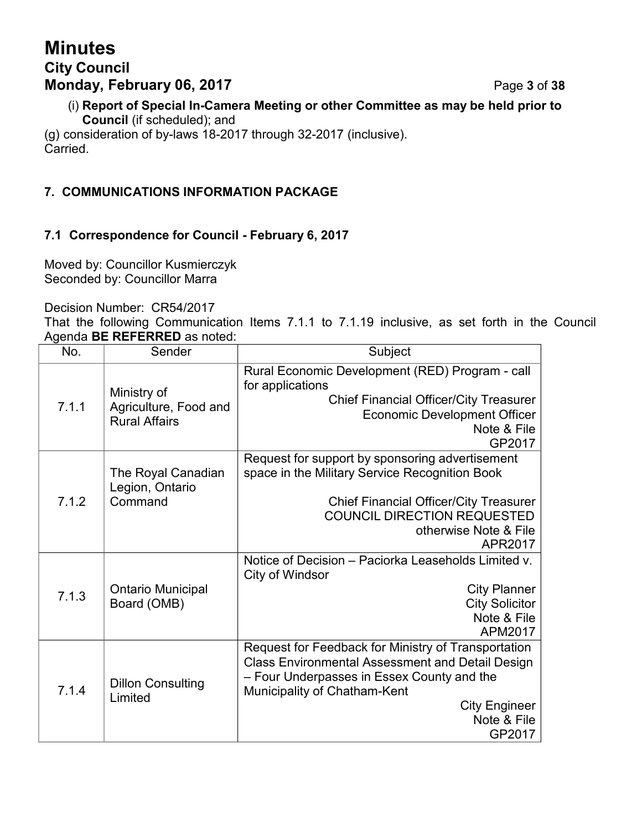### **Minutes City Council Monday, February 06, 2017** Page **3** of **38**

(i) **Report of Special In-Camera Meeting or other Committee as may be held prior to Council** (if scheduled); and

(g) consideration of by-laws 18-2017 through 32-2017 (inclusive). Carried.

### **7. COMMUNICATIONS INFORMATION PACKAGE**

### **7.1 Correspondence for Council - February 6, 2017**

Moved by: Councillor Kusmierczyk Seconded by: Councillor Marra

Decision Number: CR54/2017

That the following Communication Items 7.1.1 to 7.1.19 inclusive, as set forth in the Council Agenda **BE REFERRED** as noted:

| No.   | Sender                                                       | Subject                                                                                                                                                                                                                                       |
|-------|--------------------------------------------------------------|-----------------------------------------------------------------------------------------------------------------------------------------------------------------------------------------------------------------------------------------------|
| 7.1.1 | Ministry of<br>Agriculture, Food and<br><b>Rural Affairs</b> | Rural Economic Development (RED) Program - call<br>for applications<br><b>Chief Financial Officer/City Treasurer</b><br><b>Economic Development Officer</b><br>Note & File<br>GP2017                                                          |
| 7.1.2 | The Royal Canadian<br>Legion, Ontario<br>Command             | Request for support by sponsoring advertisement<br>space in the Military Service Recognition Book<br><b>Chief Financial Officer/City Treasurer</b><br><b>COUNCIL DIRECTION REQUESTED</b><br>otherwise Note & File<br>APR2017                  |
| 7.1.3 | <b>Ontario Municipal</b><br>Board (OMB)                      | Notice of Decision - Paciorka Leaseholds Limited v.<br>City of Windsor<br><b>City Planner</b><br><b>City Solicitor</b><br>Note & File<br>APM2017                                                                                              |
| 7.1.4 | <b>Dillon Consulting</b><br>Limited                          | Request for Feedback for Ministry of Transportation<br><b>Class Environmental Assessment and Detail Design</b><br>- Four Underpasses in Essex County and the<br>Municipality of Chatham-Kent<br><b>City Engineer</b><br>Note & File<br>GP2017 |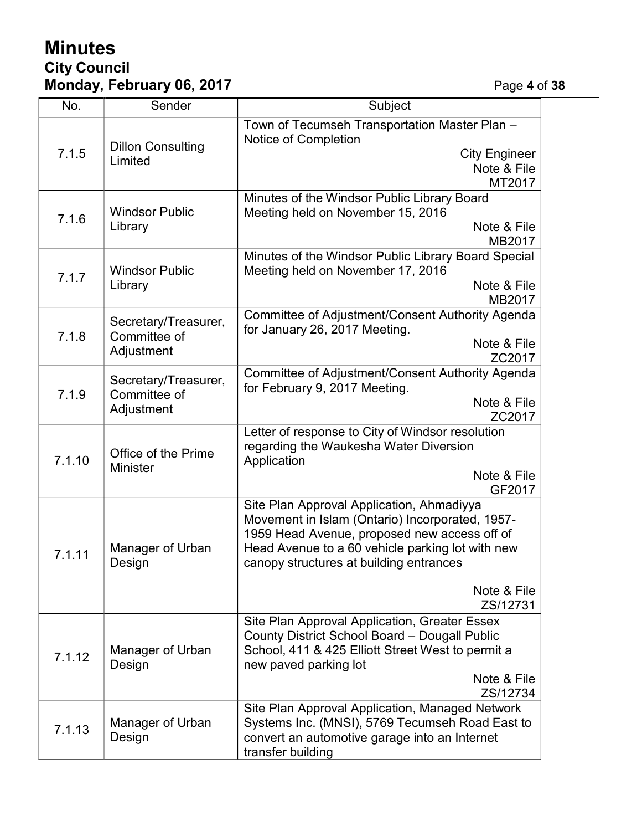## **Minutes City Council Monday, February 06, 2017** Page **4** of **38**

| No.    | Sender                                             | Subject                                                                                                                                                                                                                                                                |
|--------|----------------------------------------------------|------------------------------------------------------------------------------------------------------------------------------------------------------------------------------------------------------------------------------------------------------------------------|
| 7.1.5  | <b>Dillon Consulting</b><br>Limited                | Town of Tecumseh Transportation Master Plan -<br>Notice of Completion<br><b>City Engineer</b><br>Note & File<br>MT2017                                                                                                                                                 |
| 7.1.6  | <b>Windsor Public</b><br>Library                   | Minutes of the Windsor Public Library Board<br>Meeting held on November 15, 2016<br>Note & File<br>MB2017                                                                                                                                                              |
| 7.1.7  | <b>Windsor Public</b><br>Library                   | Minutes of the Windsor Public Library Board Special<br>Meeting held on November 17, 2016<br>Note & File<br>MB2017                                                                                                                                                      |
| 7.1.8  | Secretary/Treasurer,<br>Committee of<br>Adjustment | Committee of Adjustment/Consent Authority Agenda<br>for January 26, 2017 Meeting.<br>Note & File<br>ZC2017                                                                                                                                                             |
| 7.1.9  | Secretary/Treasurer,<br>Committee of<br>Adjustment | Committee of Adjustment/Consent Authority Agenda<br>for February 9, 2017 Meeting.<br>Note & File<br>ZC2017                                                                                                                                                             |
| 7.1.10 | Office of the Prime<br><b>Minister</b>             | Letter of response to City of Windsor resolution<br>regarding the Waukesha Water Diversion<br>Application<br>Note & File<br>GF2017                                                                                                                                     |
| 7.1.11 | Manager of Urban<br>Design                         | Site Plan Approval Application, Ahmadiyya<br>Movement in Islam (Ontario) Incorporated, 1957-<br>1959 Head Avenue, proposed new access off of<br>Head Avenue to a 60 vehicle parking lot with new<br>canopy structures at building entrances<br>Note & File<br>ZS/12731 |
| 7.1.12 | Manager of Urban<br>Design                         | Site Plan Approval Application, Greater Essex<br>County District School Board - Dougall Public<br>School, 411 & 425 Elliott Street West to permit a<br>new paved parking lot<br>Note & File<br>ZS/12734                                                                |
| 7.1.13 | Manager of Urban<br>Design                         | Site Plan Approval Application, Managed Network<br>Systems Inc. (MNSI), 5769 Tecumseh Road East to<br>convert an automotive garage into an Internet<br>transfer building                                                                                               |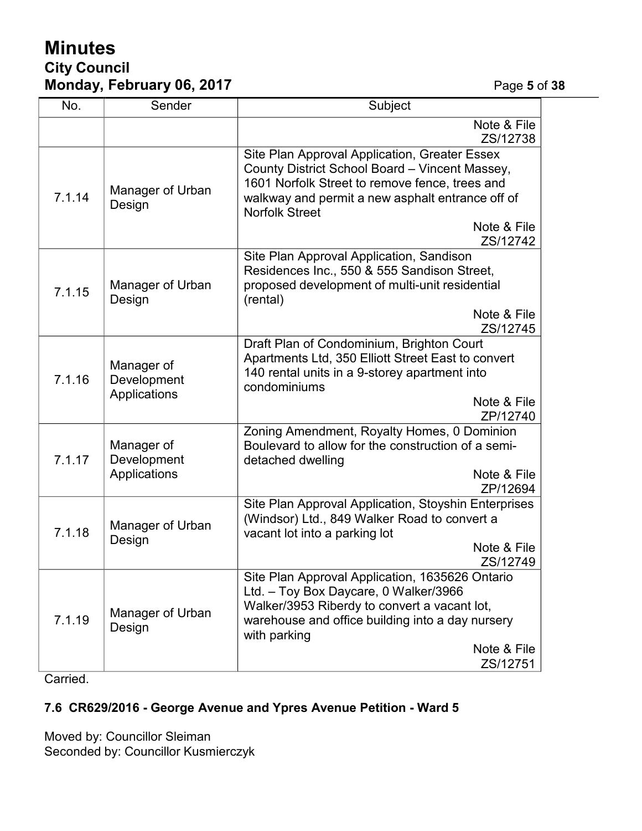## **Minutes City Council Monday, February 06, 2017 Page 5** of 38

| No.    | Sender                                    | Subject                                                                                                                                                                                                                                                   |
|--------|-------------------------------------------|-----------------------------------------------------------------------------------------------------------------------------------------------------------------------------------------------------------------------------------------------------------|
|        |                                           | Note & File<br>ZS/12738                                                                                                                                                                                                                                   |
| 7.1.14 | Manager of Urban<br>Design                | Site Plan Approval Application, Greater Essex<br>County District School Board - Vincent Massey,<br>1601 Norfolk Street to remove fence, trees and<br>walkway and permit a new asphalt entrance off of<br><b>Norfolk Street</b><br>Note & File<br>ZS/12742 |
| 7.1.15 | Manager of Urban<br>Design                | Site Plan Approval Application, Sandison<br>Residences Inc., 550 & 555 Sandison Street,<br>proposed development of multi-unit residential<br>(rental)<br>Note & File<br>ZS/12745                                                                          |
| 7.1.16 | Manager of<br>Development<br>Applications | Draft Plan of Condominium, Brighton Court<br>Apartments Ltd, 350 Elliott Street East to convert<br>140 rental units in a 9-storey apartment into<br>condominiums<br>Note & File                                                                           |
| 7.1.17 | Manager of<br>Development<br>Applications | ZP/12740<br>Zoning Amendment, Royalty Homes, 0 Dominion<br>Boulevard to allow for the construction of a semi-<br>detached dwelling<br>Note & File<br>ZP/12694                                                                                             |
| 7.1.18 | Manager of Urban<br>Design                | Site Plan Approval Application, Stoyshin Enterprises<br>(Windsor) Ltd., 849 Walker Road to convert a<br>vacant lot into a parking lot<br>Note & File<br>ZS/12749                                                                                          |
| 7.1.19 | Manager of Urban<br>Design                | Site Plan Approval Application, 1635626 Ontario<br>Ltd. - Toy Box Daycare, 0 Walker/3966<br>Walker/3953 Riberdy to convert a vacant lot,<br>warehouse and office building into a day nursery<br>with parking<br>Note & File<br>ZS/12751                   |

Carried.

### **7.6 CR629/2016 - George Avenue and Ypres Avenue Petition - Ward 5**

Moved by: Councillor Sleiman Seconded by: Councillor Kusmierczyk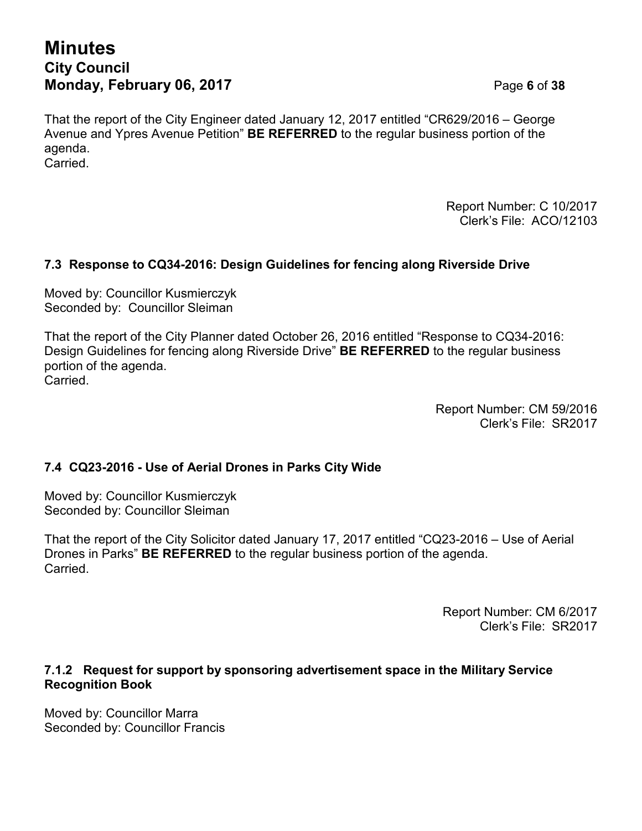### **Minutes City Council Monday, February 06, 2017 Page 6** of 38

That the report of the City Engineer dated January 12, 2017 entitled "CR629/2016 – George Avenue and Ypres Avenue Petition" **BE REFERRED** to the regular business portion of the agenda. Carried.

> Report Number: C 10/2017 Clerk's File: ACO/12103

#### **7.3 Response to CQ34-2016: Design Guidelines for fencing along Riverside Drive**

Moved by: Councillor Kusmierczyk Seconded by: Councillor Sleiman

That the report of the City Planner dated October 26, 2016 entitled "Response to CQ34-2016: Design Guidelines for fencing along Riverside Drive" **BE REFERRED** to the regular business portion of the agenda. Carried.

> Report Number: CM 59/2016 Clerk's File: SR2017

#### **7.4 CQ23-2016 - Use of Aerial Drones in Parks City Wide**

Moved by: Councillor Kusmierczyk Seconded by: Councillor Sleiman

That the report of the City Solicitor dated January 17, 2017 entitled "CQ23-2016 – Use of Aerial Drones in Parks" **BE REFERRED** to the regular business portion of the agenda. Carried.

> Report Number: CM 6/2017 Clerk's File: SR2017

#### **7.1.2 Request for support by sponsoring advertisement space in the Military Service Recognition Book**

Moved by: Councillor Marra Seconded by: Councillor Francis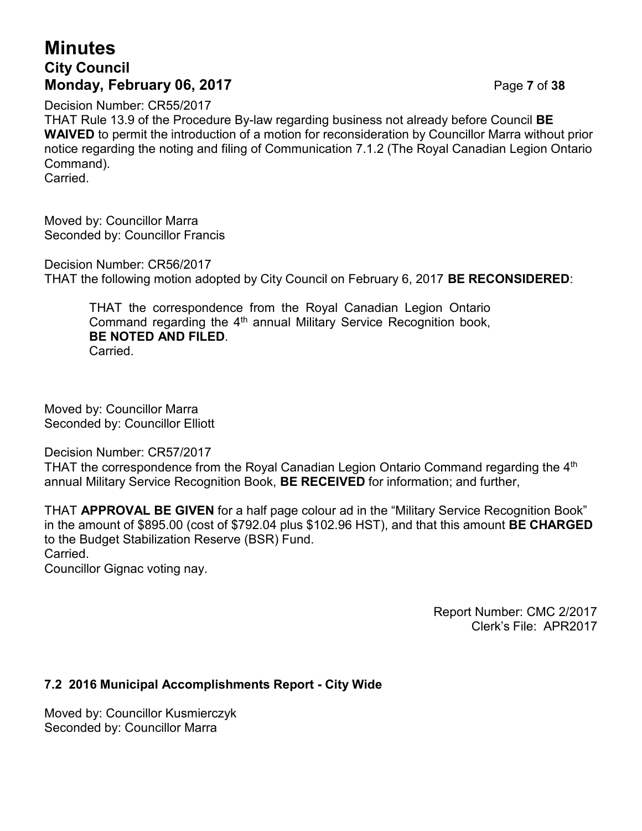### **Minutes City Council Monday, February 06, 2017 Page 7** of 38

Decision Number: CR55/2017

THAT Rule 13.9 of the Procedure By-law regarding business not already before Council **BE WAIVED** to permit the introduction of a motion for reconsideration by Councillor Marra without prior notice regarding the noting and filing of Communication 7.1.2 (The Royal Canadian Legion Ontario Command).

Carried.

Moved by: Councillor Marra Seconded by: Councillor Francis

Decision Number: CR56/2017 THAT the following motion adopted by City Council on February 6, 2017 **BE RECONSIDERED**:

THAT the correspondence from the Royal Canadian Legion Ontario Command regarding the 4<sup>th</sup> annual Military Service Recognition book, **BE NOTED AND FILED**. Carried.

Moved by: Councillor Marra Seconded by: Councillor Elliott

Decision Number: CR57/2017

THAT the correspondence from the Royal Canadian Legion Ontario Command regarding the  $4<sup>th</sup>$ annual Military Service Recognition Book, **BE RECEIVED** for information; and further,

THAT **APPROVAL BE GIVEN** for a half page colour ad in the "Military Service Recognition Book" in the amount of \$895.00 (cost of \$792.04 plus \$102.96 HST), and that this amount **BE CHARGED** to the Budget Stabilization Reserve (BSR) Fund. Carried.

Councillor Gignac voting nay.

Report Number: CMC 2/2017 Clerk's File: APR2017

#### **7.2 2016 Municipal Accomplishments Report - City Wide**

Moved by: Councillor Kusmierczyk Seconded by: Councillor Marra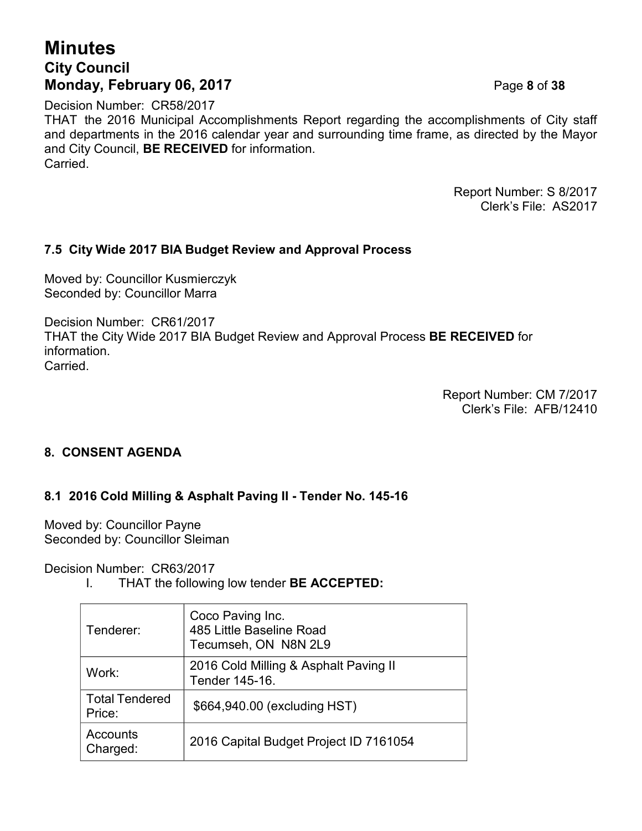### **Minutes City Council Monday, February 06, 2017 Page 8 of 38**

Decision Number: CR58/2017

THAT the 2016 Municipal Accomplishments Report regarding the accomplishments of City staff and departments in the 2016 calendar year and surrounding time frame, as directed by the Mayor and City Council, **BE RECEIVED** for information. **Carried** 

> Report Number: S 8/2017 Clerk's File: AS2017

#### **7.5 City Wide 2017 BIA Budget Review and Approval Process**

Moved by: Councillor Kusmierczyk Seconded by: Councillor Marra

Decision Number: CR61/2017 THAT the City Wide 2017 BIA Budget Review and Approval Process **BE RECEIVED** for information. **Carried** 

> Report Number: CM 7/2017 Clerk's File: AFB/12410

#### **8. CONSENT AGENDA**

#### **8.1 2016 Cold Milling & Asphalt Paving II - Tender No. 145-16**

Moved by: Councillor Payne Seconded by: Councillor Sleiman

Decision Number: CR63/2017

I. THAT the following low tender **BE ACCEPTED:**

| Tenderer:                       | Coco Paving Inc.<br>485 Little Baseline Road<br>Tecumseh, ON N8N 2L9 |
|---------------------------------|----------------------------------------------------------------------|
| Work:                           | 2016 Cold Milling & Asphalt Paving II<br>Tender 145-16.              |
| <b>Total Tendered</b><br>Price: | \$664,940.00 (excluding HST)                                         |
| Accounts<br>Charged:            | 2016 Capital Budget Project ID 7161054                               |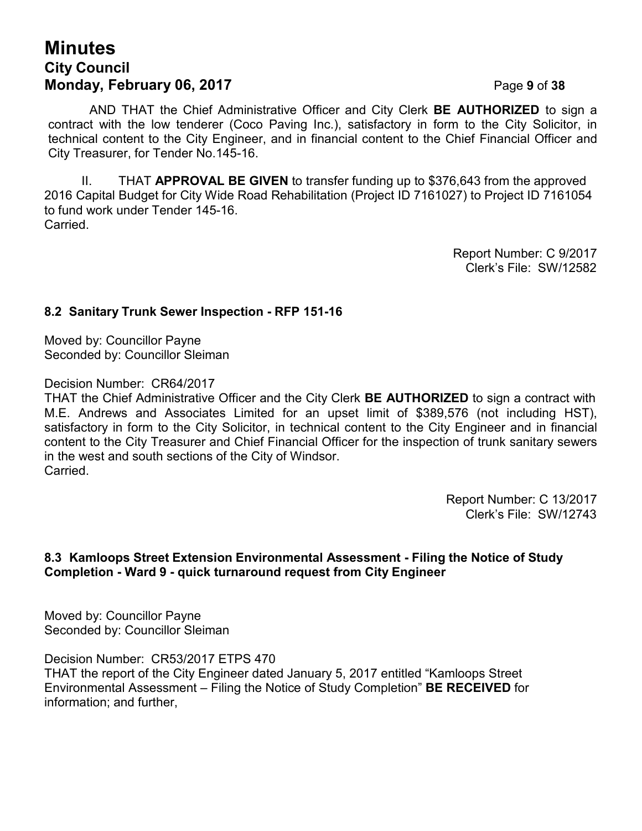### **Minutes City Council Monday, February 06, 2017** Page **9** of **38**

AND THAT the Chief Administrative Officer and City Clerk **BE AUTHORIZED** to sign a contract with the low tenderer (Coco Paving Inc.), satisfactory in form to the City Solicitor, in technical content to the City Engineer, and in financial content to the Chief Financial Officer and City Treasurer, for Tender No.145-16.

II. THAT **APPROVAL BE GIVEN** to transfer funding up to \$376,643 from the approved 2016 Capital Budget for City Wide Road Rehabilitation (Project ID 7161027) to Project ID 7161054 to fund work under Tender 145-16. Carried.

> Report Number: C 9/2017 Clerk's File: SW/12582

#### **8.2 Sanitary Trunk Sewer Inspection - RFP 151-16**

Moved by: Councillor Payne Seconded by: Councillor Sleiman

#### Decision Number: CR64/2017

THAT the Chief Administrative Officer and the City Clerk **BE AUTHORIZED** to sign a contract with M.E. Andrews and Associates Limited for an upset limit of \$389,576 (not including HST), satisfactory in form to the City Solicitor, in technical content to the City Engineer and in financial content to the City Treasurer and Chief Financial Officer for the inspection of trunk sanitary sewers in the west and south sections of the City of Windsor. Carried.

> Report Number: C 13/2017 Clerk's File: SW/12743

#### **8.3 Kamloops Street Extension Environmental Assessment - Filing the Notice of Study Completion - Ward 9 - quick turnaround request from City Engineer**

Moved by: Councillor Payne Seconded by: Councillor Sleiman

Decision Number: CR53/2017 ETPS 470 THAT the report of the City Engineer dated January 5, 2017 entitled "Kamloops Street Environmental Assessment – Filing the Notice of Study Completion" **BE RECEIVED** for information; and further,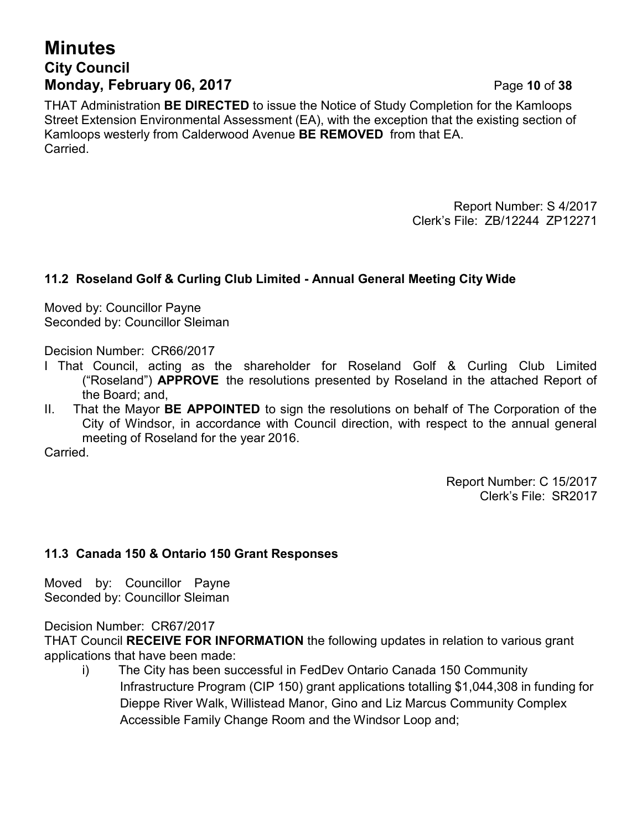### **Minutes City Council Monday, February 06, 2017 Page 10 of 38**

THAT Administration **BE DIRECTED** to issue the Notice of Study Completion for the Kamloops Street Extension Environmental Assessment (EA), with the exception that the existing section of Kamloops westerly from Calderwood Avenue **BE REMOVED** from that EA. Carried.

> Report Number: S 4/2017 Clerk's File: ZB/12244 ZP12271

#### **11.2 Roseland Golf & Curling Club Limited - Annual General Meeting City Wide**

Moved by: Councillor Payne Seconded by: Councillor Sleiman

Decision Number: CR66/2017

- I That Council, acting as the shareholder for Roseland Golf & Curling Club Limited ("Roseland") **APPROVE** the resolutions presented by Roseland in the attached Report of the Board; and,
- II. That the Mayor **BE APPOINTED** to sign the resolutions on behalf of The Corporation of the City of Windsor, in accordance with Council direction, with respect to the annual general meeting of Roseland for the year 2016.

Carried.

Report Number: C 15/2017 Clerk's File: SR2017

#### **11.3 Canada 150 & Ontario 150 Grant Responses**

Moved by: Councillor Payne Seconded by: Councillor Sleiman

Decision Number: CR67/2017

THAT Council **RECEIVE FOR INFORMATION** the following updates in relation to various grant applications that have been made:

i) The City has been successful in FedDev Ontario Canada 150 Community Infrastructure Program (CIP 150) grant applications totalling \$1,044,308 in funding for Dieppe River Walk, Willistead Manor, Gino and Liz Marcus Community Complex Accessible Family Change Room and the Windsor Loop and;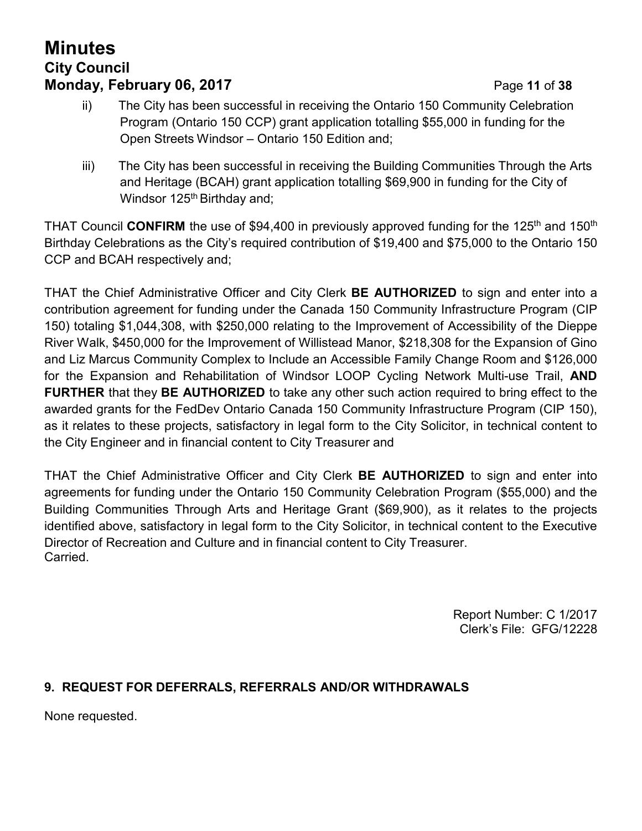### **Minutes City Council Monday, February 06, 2017 Page 11 of 38**

- 
- ii) The City has been successful in receiving the Ontario 150 Community Celebration Program (Ontario 150 CCP) grant application totalling \$55,000 in funding for the Open Streets Windsor – Ontario 150 Edition and;
- iii) The City has been successful in receiving the Building Communities Through the Arts and Heritage (BCAH) grant application totalling \$69,900 in funding for the City of Windsor 125<sup>th</sup> Birthday and;

THAT Council **CONFIRM** the use of \$94,400 in previously approved funding for the 125<sup>th</sup> and 150<sup>th</sup> Birthday Celebrations as the City's required contribution of \$19,400 and \$75,000 to the Ontario 150 CCP and BCAH respectively and;

THAT the Chief Administrative Officer and City Clerk **BE AUTHORIZED** to sign and enter into a contribution agreement for funding under the Canada 150 Community Infrastructure Program (CIP 150) totaling \$1,044,308, with \$250,000 relating to the Improvement of Accessibility of the Dieppe River Walk, \$450,000 for the Improvement of Willistead Manor, \$218,308 for the Expansion of Gino and Liz Marcus Community Complex to Include an Accessible Family Change Room and \$126,000 for the Expansion and Rehabilitation of Windsor LOOP Cycling Network Multi-use Trail, **AND FURTHER** that they **BE AUTHORIZED** to take any other such action required to bring effect to the awarded grants for the FedDev Ontario Canada 150 Community Infrastructure Program (CIP 150), as it relates to these projects, satisfactory in legal form to the City Solicitor, in technical content to the City Engineer and in financial content to City Treasurer and

THAT the Chief Administrative Officer and City Clerk **BE AUTHORIZED** to sign and enter into agreements for funding under the Ontario 150 Community Celebration Program (\$55,000) and the Building Communities Through Arts and Heritage Grant (\$69,900), as it relates to the projects identified above, satisfactory in legal form to the City Solicitor, in technical content to the Executive Director of Recreation and Culture and in financial content to City Treasurer. Carried.

> Report Number: C 1/2017 Clerk's File: GFG/12228

#### **9. REQUEST FOR DEFERRALS, REFERRALS AND/OR WITHDRAWALS**

None requested.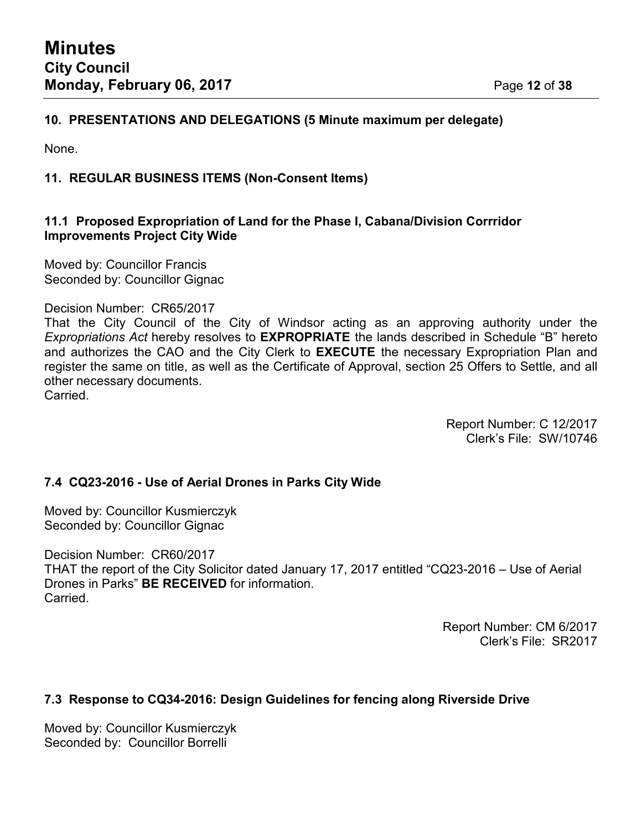#### **10. PRESENTATIONS AND DELEGATIONS (5 Minute maximum per delegate)**

None.

#### **11. REGULAR BUSINESS ITEMS (Non-Consent Items)**

#### **11.1 Proposed Expropriation of Land for the Phase I, Cabana/Division Corrridor Improvements Project City Wide**

Moved by: Councillor Francis Seconded by: Councillor Gignac

Decision Number: CR65/2017

That the City Council of the City of Windsor acting as an approving authority under the *Expropriations Act* hereby resolves to **EXPROPRIATE** the lands described in Schedule "B" hereto and authorizes the CAO and the City Clerk to **EXECUTE** the necessary Expropriation Plan and register the same on title, as well as the Certificate of Approval, section 25 Offers to Settle, and all other necessary documents. Carried.

> Report Number: C 12/2017 Clerk's File: SW/10746

#### **7.4 CQ23-2016 - Use of Aerial Drones in Parks City Wide**

Moved by: Councillor Kusmierczyk Seconded by: Councillor Gignac

Decision Number: CR60/2017

THAT the report of the City Solicitor dated January 17, 2017 entitled "CQ23-2016 – Use of Aerial Drones in Parks" **BE RECEIVED** for information. Carried.

> Report Number: CM 6/2017 Clerk's File: SR2017

#### **7.3 Response to CQ34-2016: Design Guidelines for fencing along Riverside Drive**

Moved by: Councillor Kusmierczyk Seconded by: Councillor Borrelli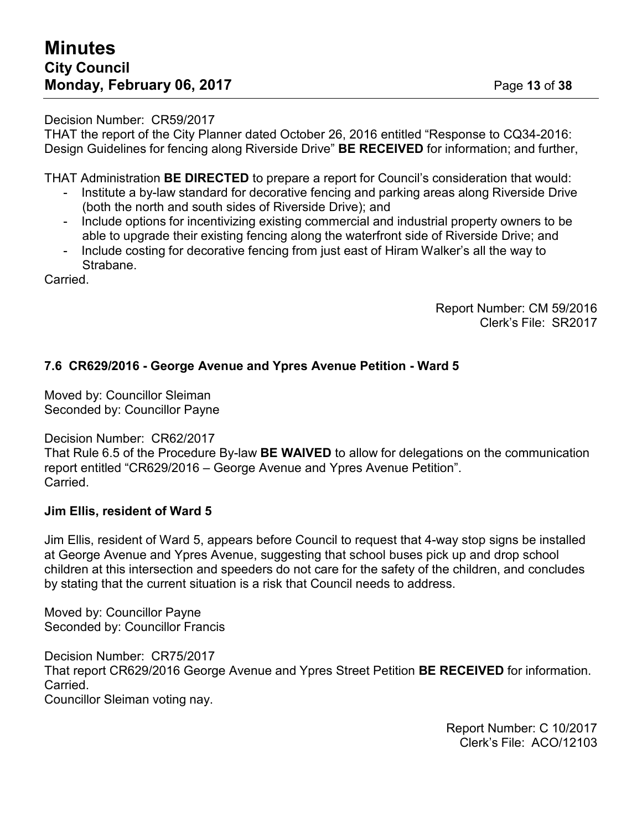### **Minutes City Council Monday, February 06, 2017 Page 13 of 38**

Decision Number: CR59/2017

THAT the report of the City Planner dated October 26, 2016 entitled "Response to CQ34-2016: Design Guidelines for fencing along Riverside Drive" **BE RECEIVED** for information; and further,

THAT Administration **BE DIRECTED** to prepare a report for Council's consideration that would:

- Institute a by-law standard for decorative fencing and parking areas along Riverside Drive (both the north and south sides of Riverside Drive); and
- Include options for incentivizing existing commercial and industrial property owners to be able to upgrade their existing fencing along the waterfront side of Riverside Drive; and
- Include costing for decorative fencing from just east of Hiram Walker's all the way to Strabane.

Carried.

Report Number: CM 59/2016 Clerk's File: SR2017

#### **7.6 CR629/2016 - George Avenue and Ypres Avenue Petition - Ward 5**

Moved by: Councillor Sleiman Seconded by: Councillor Payne

Decision Number: CR62/2017

That Rule 6.5 of the Procedure By-law **BE WAIVED** to allow for delegations on the communication report entitled "CR629/2016 – George Avenue and Ypres Avenue Petition". **Carried** 

#### **Jim Ellis, resident of Ward 5**

Jim Ellis, resident of Ward 5, appears before Council to request that 4-way stop signs be installed at George Avenue and Ypres Avenue, suggesting that school buses pick up and drop school children at this intersection and speeders do not care for the safety of the children, and concludes by stating that the current situation is a risk that Council needs to address.

Moved by: Councillor Payne Seconded by: Councillor Francis

Decision Number: CR75/2017 That report CR629/2016 George Avenue and Ypres Street Petition **BE RECEIVED** for information. Carried. Councillor Sleiman voting nay.

> Report Number: C 10/2017 Clerk's File: ACO/12103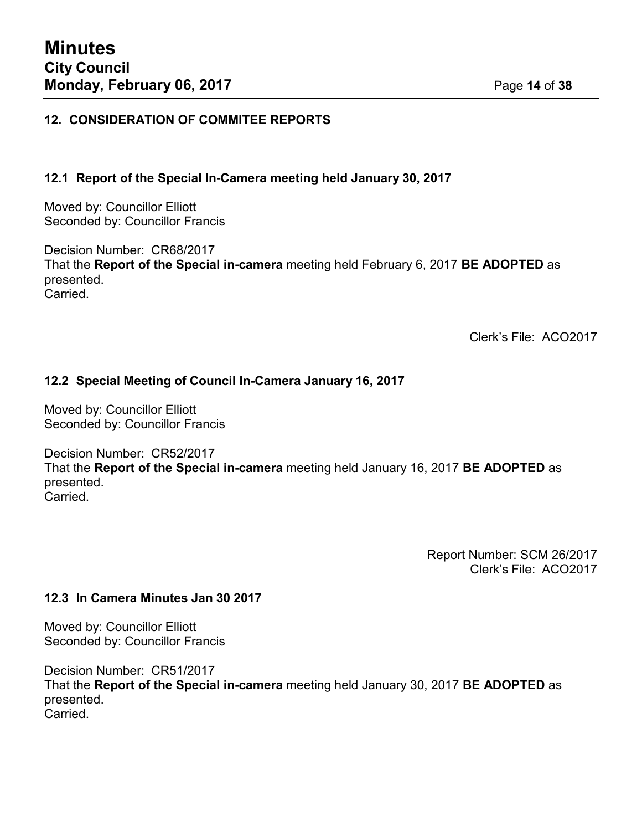#### **12. CONSIDERATION OF COMMITEE REPORTS**

#### **12.1 Report of the Special In-Camera meeting held January 30, 2017**

Moved by: Councillor Elliott Seconded by: Councillor Francis

Decision Number: CR68/2017 That the **Report of the Special in-camera** meeting held February 6, 2017 **BE ADOPTED** as presented. Carried.

Clerk's File: ACO2017

#### **12.2 Special Meeting of Council In-Camera January 16, 2017**

Moved by: Councillor Elliott Seconded by: Councillor Francis

Decision Number: CR52/2017 That the **Report of the Special in-camera** meeting held January 16, 2017 **BE ADOPTED** as presented. Carried.

> Report Number: SCM 26/2017 Clerk's File: ACO2017

#### **12.3 In Camera Minutes Jan 30 2017**

Moved by: Councillor Elliott Seconded by: Councillor Francis

Decision Number: CR51/2017 That the **Report of the Special in-camera** meeting held January 30, 2017 **BE ADOPTED** as presented. Carried.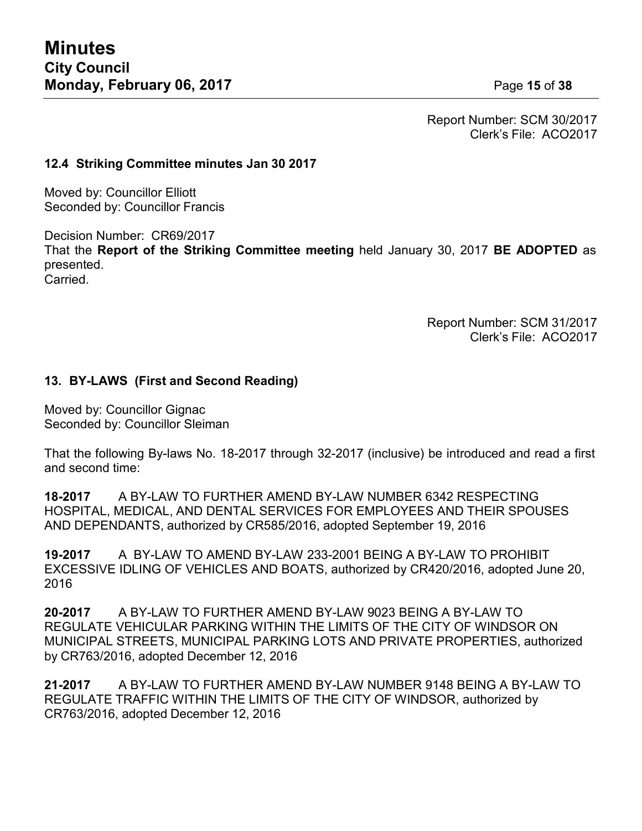Report Number: SCM 30/2017 Clerk's File: ACO2017

#### **12.4 Striking Committee minutes Jan 30 2017**

Moved by: Councillor Elliott Seconded by: Councillor Francis

Decision Number: CR69/2017 That the **Report of the Striking Committee meeting** held January 30, 2017 **BE ADOPTED** as presented. Carried.

> Report Number: SCM 31/2017 Clerk's File: ACO2017

#### **13. BY-LAWS (First and Second Reading)**

Moved by: Councillor Gignac Seconded by: Councillor Sleiman

That the following By-laws No. 18-2017 through 32-2017 (inclusive) be introduced and read a first and second time:

**18-2017** A BY-LAW TO FURTHER AMEND BY-LAW NUMBER 6342 RESPECTING HOSPITAL, MEDICAL, AND DENTAL SERVICES FOR EMPLOYEES AND THEIR SPOUSES AND DEPENDANTS, authorized by CR585/2016, adopted September 19, 2016

**19-2017** A BY-LAW TO AMEND BY-LAW 233-2001 BEING A BY-LAW TO PROHIBIT EXCESSIVE IDLING OF VEHICLES AND BOATS, authorized by CR420/2016, adopted June 20, 2016

**20-2017** A BY-LAW TO FURTHER AMEND BY-LAW 9023 BEING A BY-LAW TO REGULATE VEHICULAR PARKING WITHIN THE LIMITS OF THE CITY OF WINDSOR ON MUNICIPAL STREETS, MUNICIPAL PARKING LOTS AND PRIVATE PROPERTIES, authorized by CR763/2016, adopted December 12, 2016

**21-2017** A BY-LAW TO FURTHER AMEND BY-LAW NUMBER 9148 BEING A BY-LAW TO REGULATE TRAFFIC WITHIN THE LIMITS OF THE CITY OF WINDSOR, authorized by CR763/2016, adopted December 12, 2016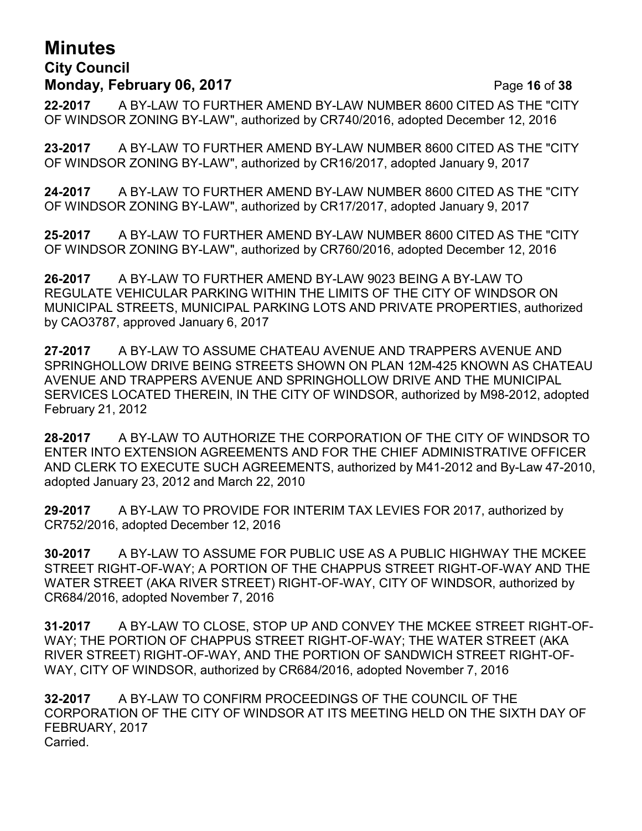### **City Council Monday, February 06, 2017 Page 16 of 38**

**22-2017** A BY-LAW TO FURTHER AMEND BY-LAW NUMBER 8600 CITED AS THE "CITY OF WINDSOR ZONING BY-LAW", authorized by CR740/2016, adopted December 12, 2016

**23-2017** A BY-LAW TO FURTHER AMEND BY-LAW NUMBER 8600 CITED AS THE "CITY OF WINDSOR ZONING BY-LAW", authorized by CR16/2017, adopted January 9, 2017

**24-2017** A BY-LAW TO FURTHER AMEND BY-LAW NUMBER 8600 CITED AS THE "CITY OF WINDSOR ZONING BY-LAW", authorized by CR17/2017, adopted January 9, 2017

**25-2017** A BY-LAW TO FURTHER AMEND BY-LAW NUMBER 8600 CITED AS THE "CITY OF WINDSOR ZONING BY-LAW", authorized by CR760/2016, adopted December 12, 2016

**26-2017** A BY-LAW TO FURTHER AMEND BY-LAW 9023 BEING A BY-LAW TO REGULATE VEHICULAR PARKING WITHIN THE LIMITS OF THE CITY OF WINDSOR ON MUNICIPAL STREETS, MUNICIPAL PARKING LOTS AND PRIVATE PROPERTIES, authorized by CAO3787, approved January 6, 2017

**27-2017** A BY-LAW TO ASSUME CHATEAU AVENUE AND TRAPPERS AVENUE AND SPRINGHOLLOW DRIVE BEING STREETS SHOWN ON PLAN 12M-425 KNOWN AS CHATEAU AVENUE AND TRAPPERS AVENUE AND SPRINGHOLLOW DRIVE AND THE MUNICIPAL SERVICES LOCATED THEREIN, IN THE CITY OF WINDSOR, authorized by M98-2012, adopted February 21, 2012

**28-2017** A BY-LAW TO AUTHORIZE THE CORPORATION OF THE CITY OF WINDSOR TO ENTER INTO EXTENSION AGREEMENTS AND FOR THE CHIEF ADMINISTRATIVE OFFICER AND CLERK TO EXECUTE SUCH AGREEMENTS, authorized by M41-2012 and By-Law 47-2010, adopted January 23, 2012 and March 22, 2010

**29-2017** A BY-LAW TO PROVIDE FOR INTERIM TAX LEVIES FOR 2017, authorized by CR752/2016, adopted December 12, 2016

**30-2017** A BY-LAW TO ASSUME FOR PUBLIC USE AS A PUBLIC HIGHWAY THE MCKEE STREET RIGHT-OF-WAY; A PORTION OF THE CHAPPUS STREET RIGHT-OF-WAY AND THE WATER STREET (AKA RIVER STREET) RIGHT-OF-WAY, CITY OF WINDSOR, authorized by CR684/2016, adopted November 7, 2016

**31-2017** A BY-LAW TO CLOSE, STOP UP AND CONVEY THE MCKEE STREET RIGHT-OF-WAY; THE PORTION OF CHAPPUS STREET RIGHT-OF-WAY; THE WATER STREET (AKA RIVER STREET) RIGHT-OF-WAY, AND THE PORTION OF SANDWICH STREET RIGHT-OF-WAY, CITY OF WINDSOR, authorized by CR684/2016, adopted November 7, 2016

**32-2017** A BY-LAW TO CONFIRM PROCEEDINGS OF THE COUNCIL OF THE CORPORATION OF THE CITY OF WINDSOR AT ITS MEETING HELD ON THE SIXTH DAY OF FEBRUARY, 2017 Carried.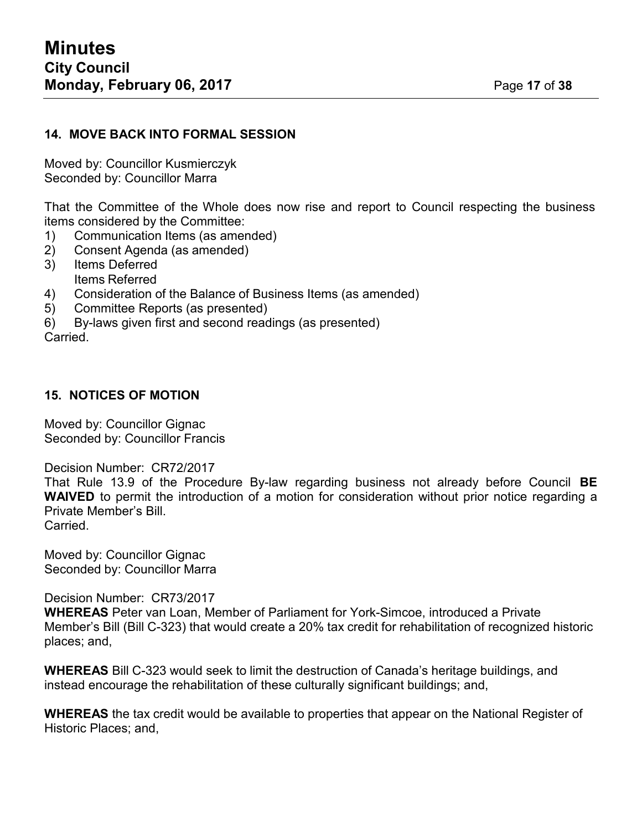#### **14. MOVE BACK INTO FORMAL SESSION**

Moved by: Councillor Kusmierczyk Seconded by: Councillor Marra

That the Committee of the Whole does now rise and report to Council respecting the business items considered by the Committee:

- 1) Communication Items (as amended)
- 2) Consent Agenda (as amended)
- 3) Items Deferred Items Referred
- 4) Consideration of the Balance of Business Items (as amended)
- 5) Committee Reports (as presented)
- 6) By-laws given first and second readings (as presented)

Carried.

#### **15. NOTICES OF MOTION**

Moved by: Councillor Gignac Seconded by: Councillor Francis

Decision Number: CR72/2017

That Rule 13.9 of the Procedure By-law regarding business not already before Council **BE WAIVED** to permit the introduction of a motion for consideration without prior notice regarding a Private Member's Bill.

Carried.

Moved by: Councillor Gignac Seconded by: Councillor Marra

#### Decision Number: CR73/2017

**WHEREAS** Peter van Loan, Member of Parliament for York-Simcoe, introduced a Private Member's Bill (Bill C-323) that would create a 20% tax credit for rehabilitation of recognized historic places; and,

**WHEREAS** Bill C-323 would seek to limit the destruction of Canada's heritage buildings, and instead encourage the rehabilitation of these culturally significant buildings; and,

**WHEREAS** the tax credit would be available to properties that appear on the National Register of Historic Places; and,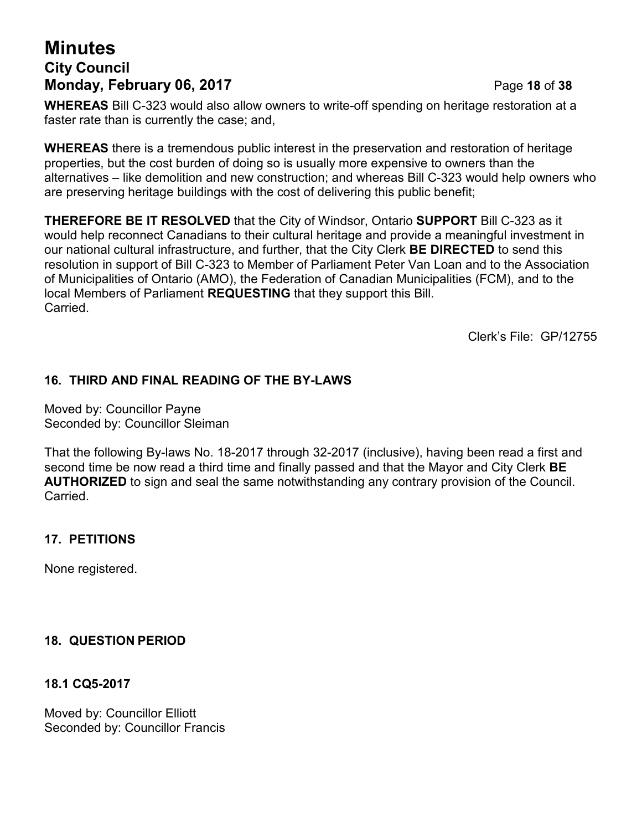### **Minutes City Council Monday, February 06, 2017 Page 18 of 38**

**WHEREAS** Bill C-323 would also allow owners to write-off spending on heritage restoration at a faster rate than is currently the case; and,

**WHEREAS** there is a tremendous public interest in the preservation and restoration of heritage properties, but the cost burden of doing so is usually more expensive to owners than the alternatives – like demolition and new construction; and whereas Bill C-323 would help owners who are preserving heritage buildings with the cost of delivering this public benefit;

**THEREFORE BE IT RESOLVED** that the City of Windsor, Ontario **SUPPORT** Bill C-323 as it would help reconnect Canadians to their cultural heritage and provide a meaningful investment in our national cultural infrastructure, and further, that the City Clerk **BE DIRECTED** to send this resolution in support of Bill C-323 to Member of Parliament Peter Van Loan and to the Association of Municipalities of Ontario (AMO), the Federation of Canadian Municipalities (FCM), and to the local Members of Parliament **REQUESTING** that they support this Bill. Carried.

Clerk's File: GP/12755

#### **16. THIRD AND FINAL READING OF THE BY-LAWS**

Moved by: Councillor Payne Seconded by: Councillor Sleiman

That the following By-laws No. 18-2017 through 32-2017 (inclusive), having been read a first and second time be now read a third time and finally passed and that the Mayor and City Clerk **BE AUTHORIZED** to sign and seal the same notwithstanding any contrary provision of the Council. Carried.

#### **17. PETITIONS**

None registered.

#### **18. QUESTION PERIOD**

#### **18.1 CQ5-2017**

Moved by: Councillor Elliott Seconded by: Councillor Francis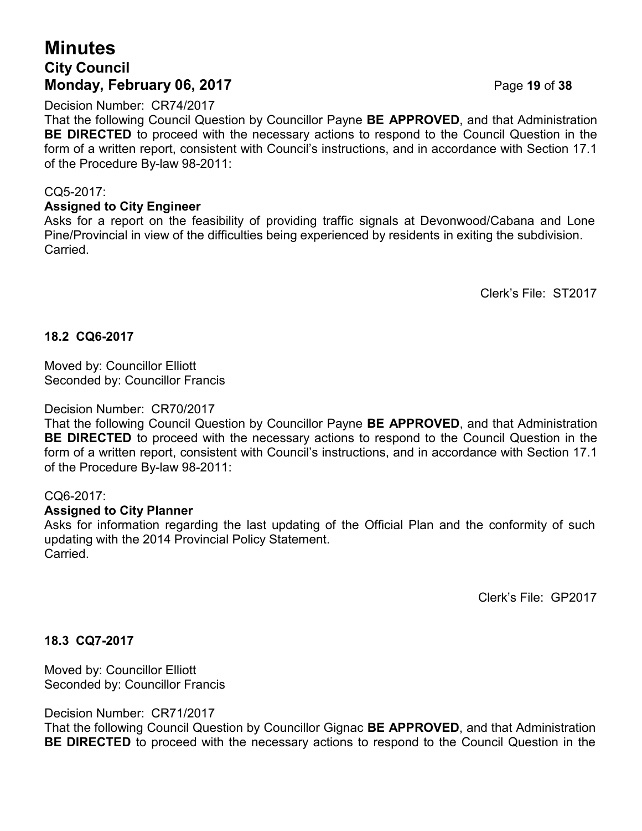### **Minutes City Council Monday, February 06, 2017 Page 19 of 38**

Decision Number: CR74/2017

That the following Council Question by Councillor Payne **BE APPROVED**, and that Administration **BE DIRECTED** to proceed with the necessary actions to respond to the Council Question in the form of a written report, consistent with Council's instructions, and in accordance with Section 17.1 of the Procedure By-law 98-2011:

#### CQ5-2017:

#### **Assigned to City Engineer**

Asks for a report on the feasibility of providing traffic signals at Devonwood/Cabana and Lone Pine/Provincial in view of the difficulties being experienced by residents in exiting the subdivision. Carried.

Clerk's File: ST2017

#### **18.2 CQ6-2017**

Moved by: Councillor Elliott Seconded by: Councillor Francis

#### Decision Number: CR70/2017

That the following Council Question by Councillor Payne **BE APPROVED**, and that Administration **BE DIRECTED** to proceed with the necessary actions to respond to the Council Question in the form of a written report, consistent with Council's instructions, and in accordance with Section 17.1 of the Procedure By-law 98-2011:

#### CQ6-2017:

#### **Assigned to City Planner**

Asks for information regarding the last updating of the Official Plan and the conformity of such updating with the 2014 Provincial Policy Statement. Carried.

Clerk's File: GP2017

#### **18.3 CQ7-2017**

Moved by: Councillor Elliott Seconded by: Councillor Francis

Decision Number: CR71/2017

That the following Council Question by Councillor Gignac **BE APPROVED**, and that Administration **BE DIRECTED** to proceed with the necessary actions to respond to the Council Question in the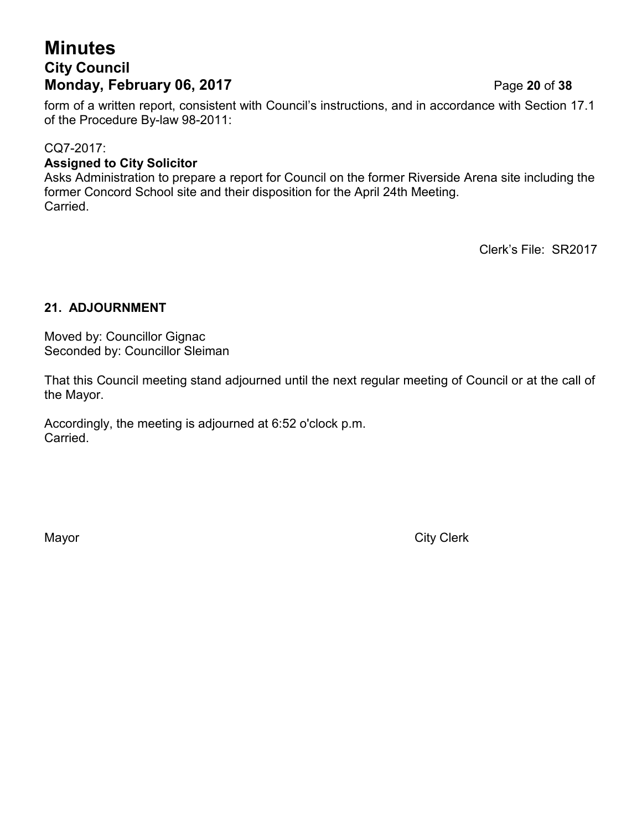### **Minutes City Council Monday, February 06, 2017 Page 20 of 38**

form of a written report, consistent with Council's instructions, and in accordance with Section 17.1 of the Procedure By-law 98-2011:

#### CQ7-2017:

#### **Assigned to City Solicitor**

Asks Administration to prepare a report for Council on the former Riverside Arena site including the former Concord School site and their disposition for the April 24th Meeting. Carried.

Clerk's File: SR2017

#### **21. ADJOURNMENT**

Moved by: Councillor Gignac Seconded by: Councillor Sleiman

That this Council meeting stand adjourned until the next regular meeting of Council or at the call of the Mayor.

Accordingly, the meeting is adjourned at 6:52 o'clock p.m. Carried.

Mayor City Clerk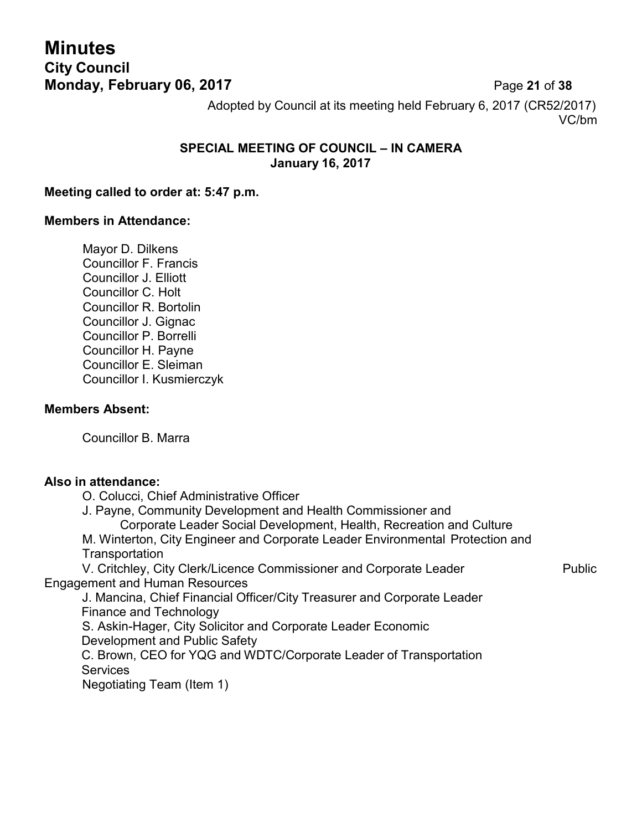### **Minutes City Council Monday, February 06, 2017 Page 21 of 38**

Adopted by Council at its meeting held February 6, 2017 (CR52/2017) VC/bm

#### **SPECIAL MEETING OF COUNCIL – IN CAMERA January 16, 2017**

#### **Meeting called to order at: 5:47 p.m.**

#### **Members in Attendance:**

Mayor D. Dilkens Councillor F. Francis Councillor J. Elliott Councillor C. Holt Councillor R. Bortolin Councillor J. Gignac Councillor P. Borrelli Councillor H. Payne Councillor E. Sleiman Councillor I. Kusmierczyk

#### **Members Absent:**

Councillor B. Marra

#### **Also in attendance:**

O. Colucci, Chief Administrative Officer J. Payne, Community Development and Health Commissioner and Corporate Leader Social Development, Health, Recreation and Culture M. Winterton, City Engineer and Corporate Leader Environmental Protection and **Transportation** V. Critchley, City Clerk/Licence Commissioner and Corporate Leader Public Engagement and Human Resources J. Mancina, Chief Financial Officer/City Treasurer and Corporate Leader Finance and Technology S. Askin-Hager, City Solicitor and Corporate Leader Economic Development and Public Safety C. Brown, CEO for YQG and WDTC/Corporate Leader of Transportation **Services** Negotiating Team (Item 1)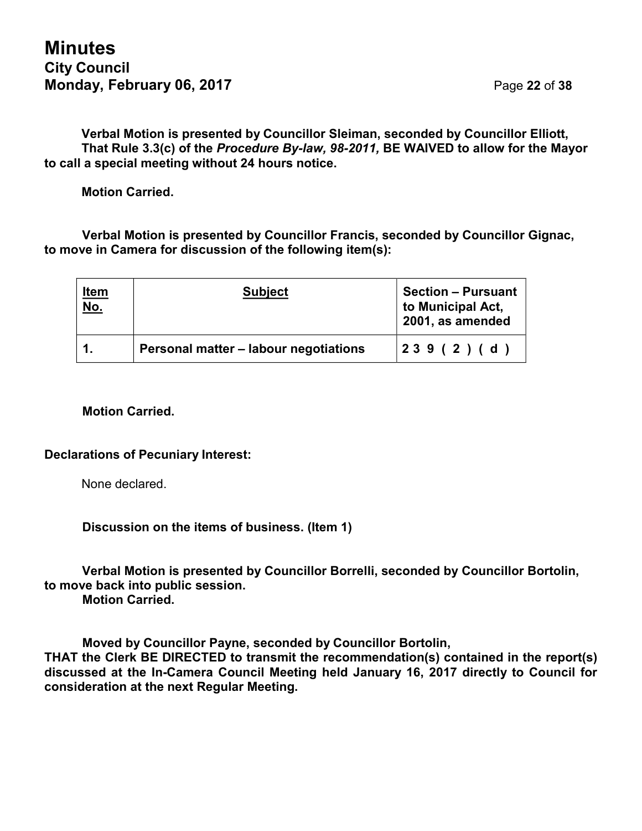**Verbal Motion is presented by Councillor Sleiman, seconded by Councillor Elliott, That Rule 3.3(c) of the** *Procedure By-law, 98-2011,* **BE WAIVED to allow for the Mayor to call a special meeting without 24 hours notice.**

**Motion Carried.**

**Verbal Motion is presented by Councillor Francis, seconded by Councillor Gignac, to move in Camera for discussion of the following item(s):**

| <u>Item</u><br>No. | <b>Subject</b>                        | <b>Section - Pursuant</b><br>to Municipal Act,<br>2001, as amended |
|--------------------|---------------------------------------|--------------------------------------------------------------------|
|                    | Personal matter - labour negotiations | 239(2)(d)                                                          |

#### **Motion Carried.**

#### **Declarations of Pecuniary Interest:**

None declared.

**Discussion on the items of business. (Item 1)**

**Verbal Motion is presented by Councillor Borrelli, seconded by Councillor Bortolin, to move back into public session. Motion Carried.**

**Moved by Councillor Payne, seconded by Councillor Bortolin,**

**THAT the Clerk BE DIRECTED to transmit the recommendation(s) contained in the report(s) discussed at the In-Camera Council Meeting held January 16, 2017 directly to Council for consideration at the next Regular Meeting.**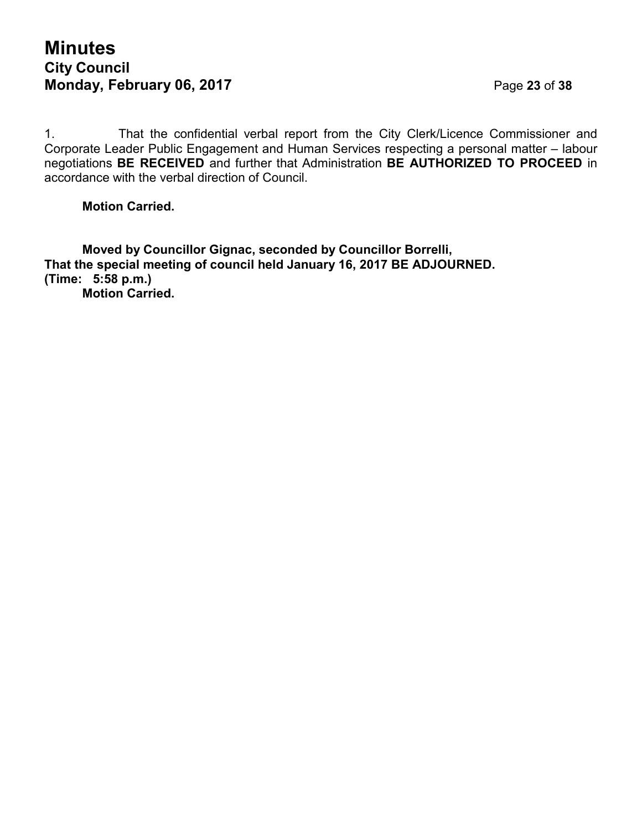### **Minutes City Council Monday, February 06, 2017 Page 23 of 38**

1. That the confidential verbal report from the City Clerk/Licence Commissioner and Corporate Leader Public Engagement and Human Services respecting a personal matter – labour negotiations **BE RECEIVED** and further that Administration **BE AUTHORIZED TO PROCEED** in accordance with the verbal direction of Council.

#### **Motion Carried.**

**Moved by Councillor Gignac, seconded by Councillor Borrelli, That the special meeting of council held January 16, 2017 BE ADJOURNED. (Time: 5:58 p.m.) Motion Carried.**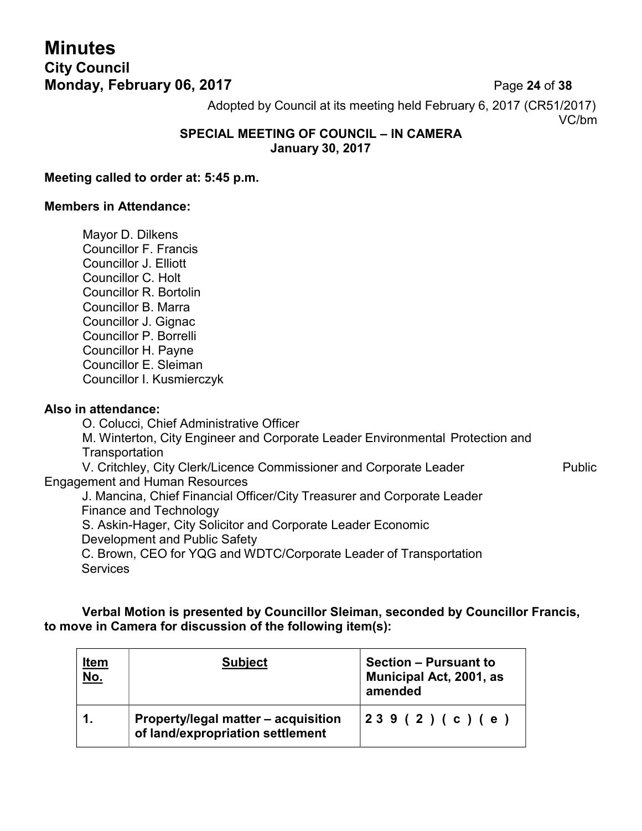### **Minutes City Council Monday, February 06, 2017 Page 24 of 38**

Adopted by Council at its meeting held February 6, 2017 (CR51/2017) VC/bm

**SPECIAL MEETING OF COUNCIL – IN CAMERA January 30, 2017**

#### **Meeting called to order at: 5:45 p.m.**

#### **Members in Attendance:**

Mayor D. Dilkens Councillor F. Francis Councillor J. Elliott Councillor C. Holt Councillor R. Bortolin Councillor B. Marra Councillor J. Gignac Councillor P. Borrelli Councillor H. Payne Councillor E. Sleiman Councillor I. Kusmierczyk

#### **Also in attendance:**

O. Colucci, Chief Administrative Officer M. Winterton, City Engineer and Corporate Leader Environmental Protection and **Transportation** V. Critchley, City Clerk/Licence Commissioner and Corporate Leader Public Engagement and Human Resources J. Mancina, Chief Financial Officer/City Treasurer and Corporate Leader Finance and Technology S. Askin-Hager, City Solicitor and Corporate Leader Economic Development and Public Safety C. Brown, CEO for YQG and WDTC/Corporate Leader of Transportation

**Services** 

#### **Verbal Motion is presented by Councillor Sleiman, seconded by Councillor Francis, to move in Camera for discussion of the following item(s):**

| <u>ltem</u><br><u>No.</u> | <b>Subject</b>                                                                  | <b>Section - Pursuant to</b><br><b>Municipal Act, 2001, as</b><br>amended |
|---------------------------|---------------------------------------------------------------------------------|---------------------------------------------------------------------------|
| $\mathbf 1$ .             | <b>Property/legal matter - acquisition<br/>of land/expropriation settlement</b> | 239(2)(c)(e)                                                              |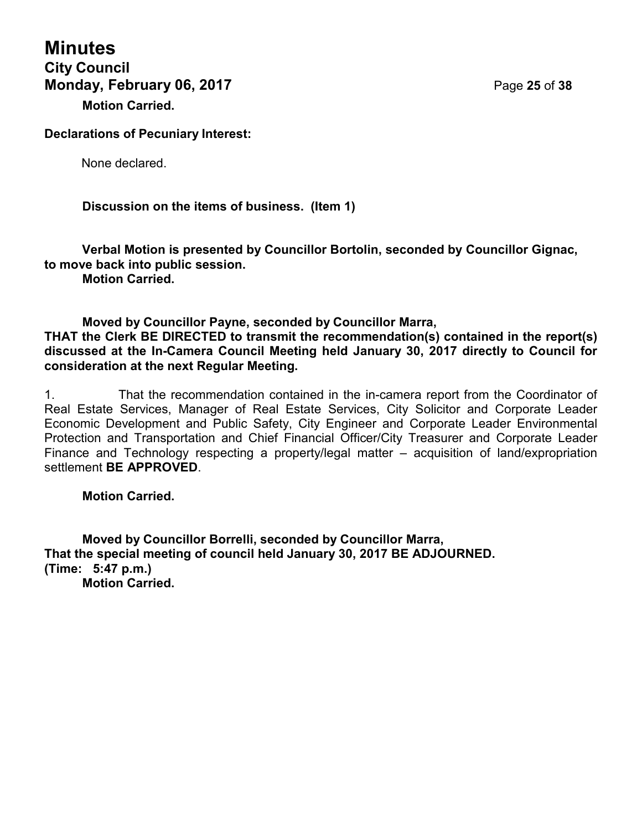**Minutes City Council Monday, February 06, 2017 Page 25** of 38 **Motion Carried.**

#### **Declarations of Pecuniary Interest:**

None declared.

**Discussion on the items of business. (Item 1)**

**Verbal Motion is presented by Councillor Bortolin, seconded by Councillor Gignac, to move back into public session.**

**Motion Carried.**

**Moved by Councillor Payne, seconded by Councillor Marra, THAT the Clerk BE DIRECTED to transmit the recommendation(s) contained in the report(s) discussed at the In-Camera Council Meeting held January 30, 2017 directly to Council for consideration at the next Regular Meeting.**

1. That the recommendation contained in the in-camera report from the Coordinator of Real Estate Services, Manager of Real Estate Services, City Solicitor and Corporate Leader Economic Development and Public Safety, City Engineer and Corporate Leader Environmental Protection and Transportation and Chief Financial Officer/City Treasurer and Corporate Leader Finance and Technology respecting a property/legal matter – acquisition of land/expropriation settlement **BE APPROVED**.

**Motion Carried.**

**Moved by Councillor Borrelli, seconded by Councillor Marra, That the special meeting of council held January 30, 2017 BE ADJOURNED. (Time: 5:47 p.m.) Motion Carried.**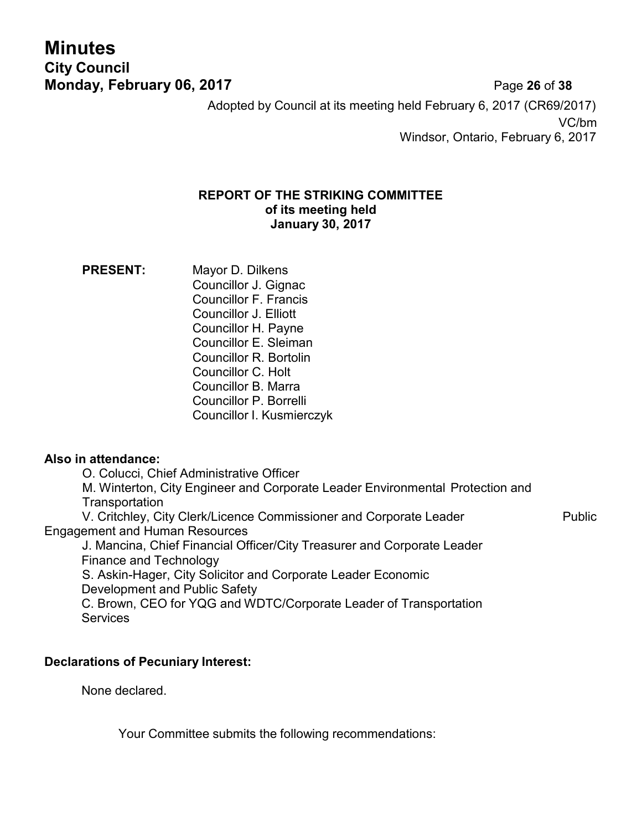**Minutes City Council Monday, February 06, 2017 Page 26 of 38** 

Adopted by Council at its meeting held February 6, 2017 (CR69/2017) VC/bm Windsor, Ontario, February 6, 2017

#### **REPORT OF THE STRIKING COMMITTEE of its meeting held January 30, 2017**

**PRESENT:** Mayor D. Dilkens Councillor J. Gignac Councillor F. Francis Councillor J. Elliott Councillor H. Payne Councillor E. Sleiman Councillor R. Bortolin Councillor C. Holt Councillor B. Marra Councillor P. Borrelli Councillor I. Kusmierczyk

#### **Also in attendance:**

O. Colucci, Chief Administrative Officer

M. Winterton, City Engineer and Corporate Leader Environmental Protection and **Transportation** 

V. Critchley, City Clerk/Licence Commissioner and Corporate Leader Public Engagement and Human Resources

J. Mancina, Chief Financial Officer/City Treasurer and Corporate Leader Finance and Technology

S. Askin-Hager, City Solicitor and Corporate Leader Economic Development and Public Safety

C. Brown, CEO for YQG and WDTC/Corporate Leader of Transportation **Services** 

#### **Declarations of Pecuniary Interest:**

None declared.

Your Committee submits the following recommendations: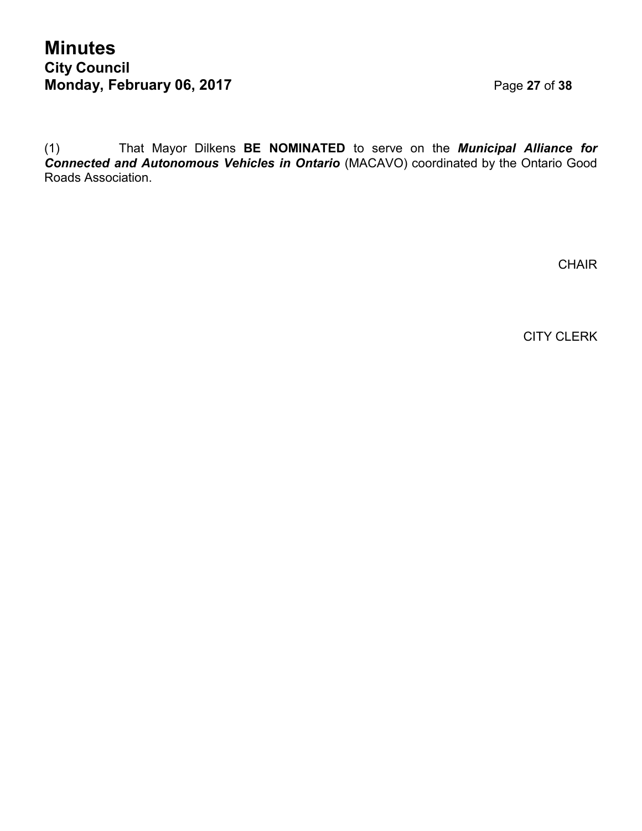### **Minutes City Council Monday, February 06, 2017** Page 27 of 38

(1) That Mayor Dilkens **BE NOMINATED** to serve on the *Municipal Alliance for Connected and Autonomous Vehicles in Ontario* (MACAVO) coordinated by the Ontario Good Roads Association.

CHAIR

CITY CLERK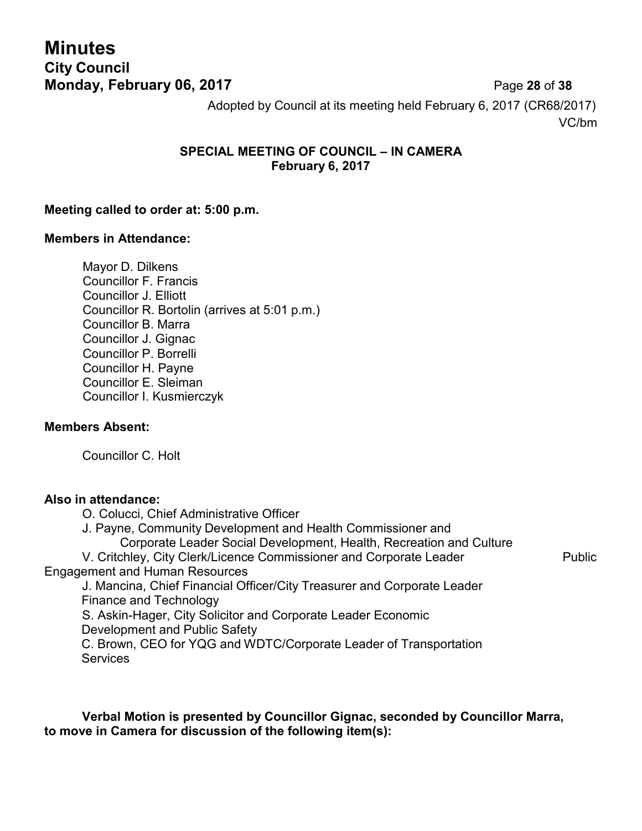**Minutes City Council Monday, February 06, 2017 Page 28 of 38** 

Adopted by Council at its meeting held February 6, 2017 (CR68/2017) VC/bm

### **SPECIAL MEETING OF COUNCIL – IN CAMERA February 6, 2017**

#### **Meeting called to order at: 5:00 p.m.**

#### **Members in Attendance:**

Mayor D. Dilkens Councillor F. Francis Councillor J. Elliott Councillor R. Bortolin (arrives at 5:01 p.m.) Councillor B. Marra Councillor J. Gignac Councillor P. Borrelli Councillor H. Payne Councillor E. Sleiman Councillor I. Kusmierczyk

#### **Members Absent:**

Councillor C. Holt

#### **Also in attendance:**

O. Colucci, Chief Administrative Officer

J. Payne, Community Development and Health Commissioner and Corporate Leader Social Development, Health, Recreation and Culture

V. Critchley, City Clerk/Licence Commissioner and Corporate Leader Public Engagement and Human Resources

J. Mancina, Chief Financial Officer/City Treasurer and Corporate Leader Finance and Technology

S. Askin-Hager, City Solicitor and Corporate Leader Economic Development and Public Safety

C. Brown, CEO for YQG and WDTC/Corporate Leader of Transportation **Services** 

**Verbal Motion is presented by Councillor Gignac, seconded by Councillor Marra, to move in Camera for discussion of the following item(s):**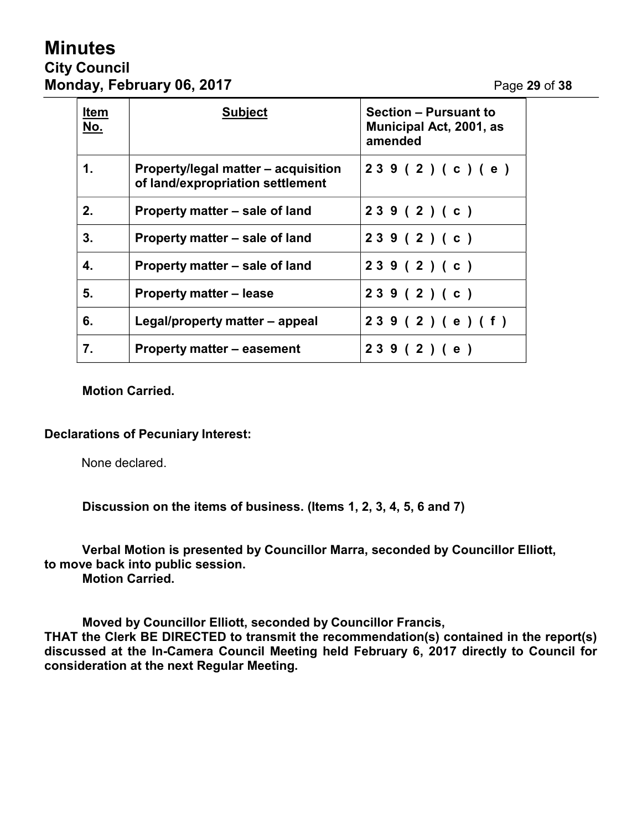## **Minutes City Council Monday, February 06, 2017 Page 29 of 38**

| <b>Item</b><br>No. | <b>Subject</b>                                                          | Section - Pursuant to<br><b>Municipal Act, 2001, as</b><br>amended |
|--------------------|-------------------------------------------------------------------------|--------------------------------------------------------------------|
| 1.                 | Property/legal matter – acquisition<br>of land/expropriation settlement | 239(2)(c)(e)                                                       |
| 2.                 | Property matter – sale of land                                          | 239 (2) (c)                                                        |
| 3.                 | Property matter – sale of land                                          | 239 (2) (c)                                                        |
| 4.                 | Property matter – sale of land                                          | 239 (2) (c)                                                        |
| 5.                 | <b>Property matter – lease</b>                                          | 239 (2) (c)                                                        |
| 6.                 | Legal/property matter - appeal                                          | 239(2)(e)(f)                                                       |
| 7.                 | <b>Property matter - easement</b>                                       | 239 (2) (e)                                                        |

#### **Motion Carried.**

#### **Declarations of Pecuniary Interest:**

None declared.

**Discussion on the items of business. (Items 1, 2, 3, 4, 5, 6 and 7)**

**Verbal Motion is presented by Councillor Marra, seconded by Councillor Elliott, to move back into public session. Motion Carried.**

**Moved by Councillor Elliott, seconded by Councillor Francis, THAT the Clerk BE DIRECTED to transmit the recommendation(s) contained in the report(s) discussed at the In-Camera Council Meeting held February 6, 2017 directly to Council for consideration at the next Regular Meeting.**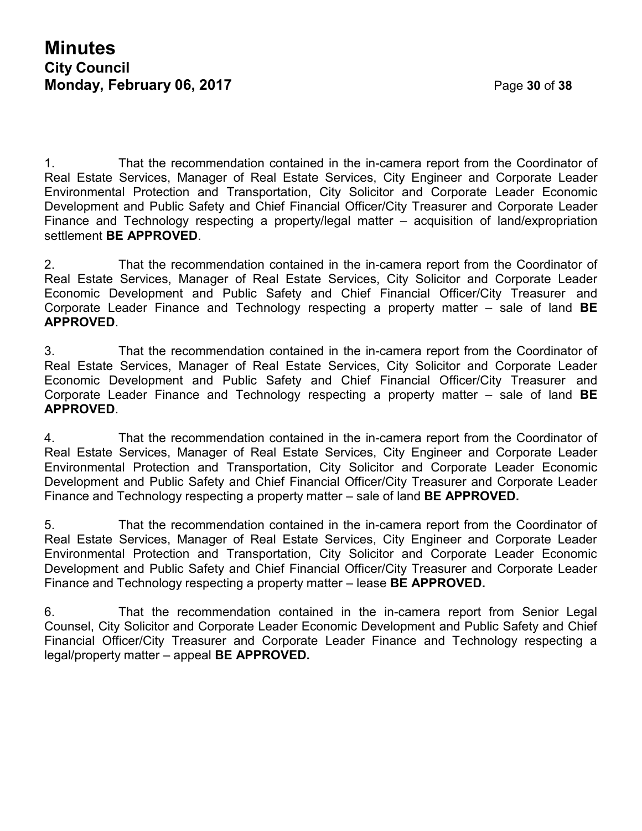1. That the recommendation contained in the in-camera report from the Coordinator of Real Estate Services, Manager of Real Estate Services, City Engineer and Corporate Leader Environmental Protection and Transportation, City Solicitor and Corporate Leader Economic Development and Public Safety and Chief Financial Officer/City Treasurer and Corporate Leader Finance and Technology respecting a property/legal matter – acquisition of land/expropriation settlement **BE APPROVED**.

2. That the recommendation contained in the in-camera report from the Coordinator of Real Estate Services, Manager of Real Estate Services, City Solicitor and Corporate Leader Economic Development and Public Safety and Chief Financial Officer/City Treasurer and Corporate Leader Finance and Technology respecting a property matter – sale of land **BE APPROVED**.

3. That the recommendation contained in the in-camera report from the Coordinator of Real Estate Services, Manager of Real Estate Services, City Solicitor and Corporate Leader Economic Development and Public Safety and Chief Financial Officer/City Treasurer and Corporate Leader Finance and Technology respecting a property matter – sale of land **BE APPROVED**.

4. That the recommendation contained in the in-camera report from the Coordinator of Real Estate Services, Manager of Real Estate Services, City Engineer and Corporate Leader Environmental Protection and Transportation, City Solicitor and Corporate Leader Economic Development and Public Safety and Chief Financial Officer/City Treasurer and Corporate Leader Finance and Technology respecting a property matter – sale of land **BE APPROVED.**

5. That the recommendation contained in the in-camera report from the Coordinator of Real Estate Services, Manager of Real Estate Services, City Engineer and Corporate Leader Environmental Protection and Transportation, City Solicitor and Corporate Leader Economic Development and Public Safety and Chief Financial Officer/City Treasurer and Corporate Leader Finance and Technology respecting a property matter – lease **BE APPROVED.**

6. That the recommendation contained in the in-camera report from Senior Legal Counsel, City Solicitor and Corporate Leader Economic Development and Public Safety and Chief Financial Officer/City Treasurer and Corporate Leader Finance and Technology respecting a legal/property matter – appeal **BE APPROVED.**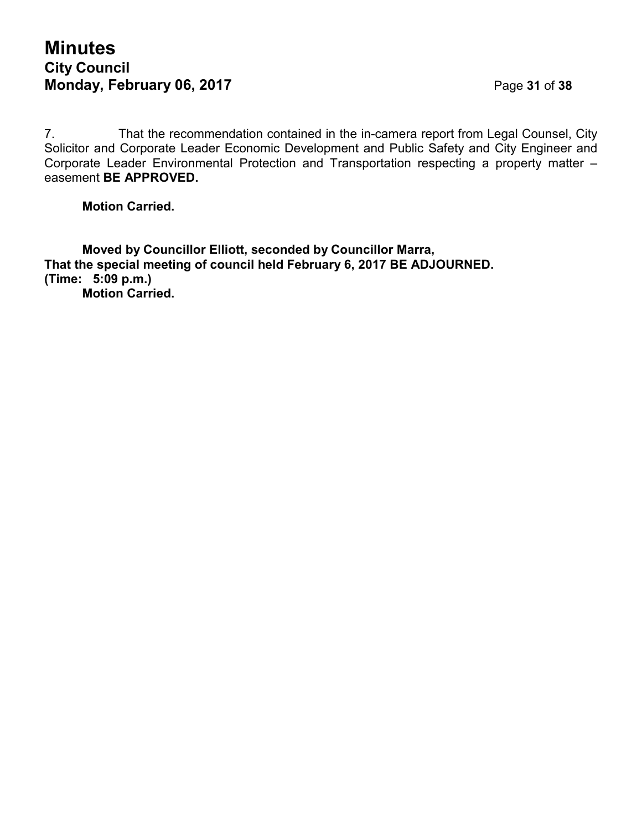### **Minutes City Council Monday, February 06, 2017 Page 31 of 38**

7. That the recommendation contained in the in-camera report from Legal Counsel, City Solicitor and Corporate Leader Economic Development and Public Safety and City Engineer and Corporate Leader Environmental Protection and Transportation respecting a property matter – easement **BE APPROVED.**

#### **Motion Carried.**

**Moved by Councillor Elliott, seconded by Councillor Marra, That the special meeting of council held February 6, 2017 BE ADJOURNED. (Time: 5:09 p.m.) Motion Carried.**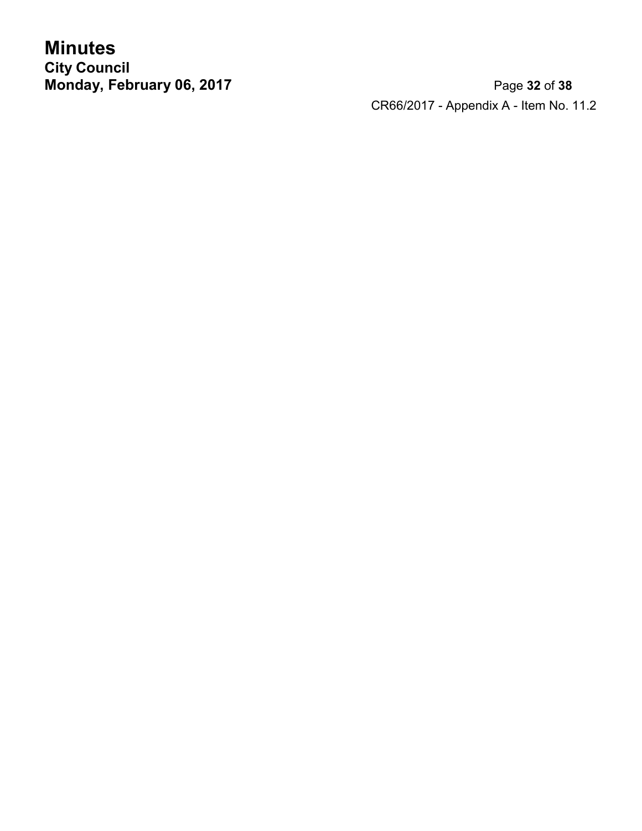**City Council Monday, February 06, 2017 Page 32** of 38

CR66/2017 - Appendix A - Item No. 11.2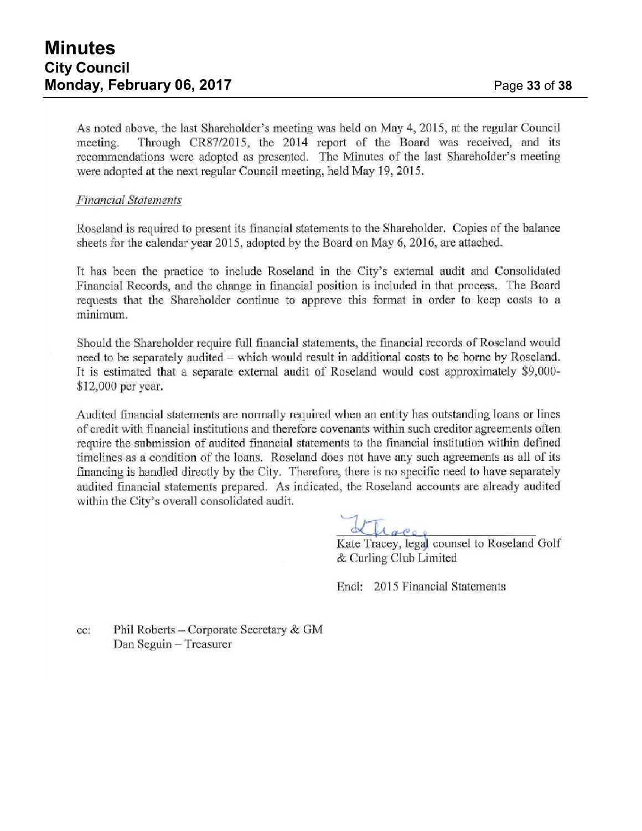As noted above, the last Shareholder's meeting was held on May 4, 2015, at the regular Council meeting. Through CR87/2015, the 2014 report of the Board was received, and its recommendations were adopted as presented. The Minutes of the last Shareholder's meeting were adopted at the next regular Council meeting, held May 19, 2015.

#### **Financial Statements**

Roseland is required to present its financial statements to the Shareholder. Copies of the balance sheets for the calendar year 2015, adopted by the Board on May 6, 2016, are attached.

It has been the practice to include Roseland in the City's external audit and Consolidated Financial Records, and the change in financial position is included in that process. The Board requests that the Shareholder continue to approve this format in order to keep costs to a minimum.

Should the Shareholder require full financial statements, the financial records of Roseland would need to be separately audited – which would result in additional costs to be borne by Roseland. It is estimated that a separate external audit of Roseland would cost approximately \$9,000-\$12,000 per year.

Audited financial statements are normally required when an entity has outstanding loans or lines of credit with financial institutions and therefore covenants within such creditor agreements often require the submission of audited financial statements to the financial institution within defined timelines as a condition of the loans. Roseland does not have any such agreements as all of its financing is handled directly by the City. Therefore, there is no specific need to have separately audited financial statements prepared. As indicated, the Roseland accounts are already audited within the City's overall consolidated audit.

 $Aa$  $000$ 

Kate Tracey, legal counsel to Roseland Golf & Curling Club Limited

Encl: 2015 Financial Statements

Phil Roberts - Corporate Secretary & GM cc: Dan Seguin - Treasurer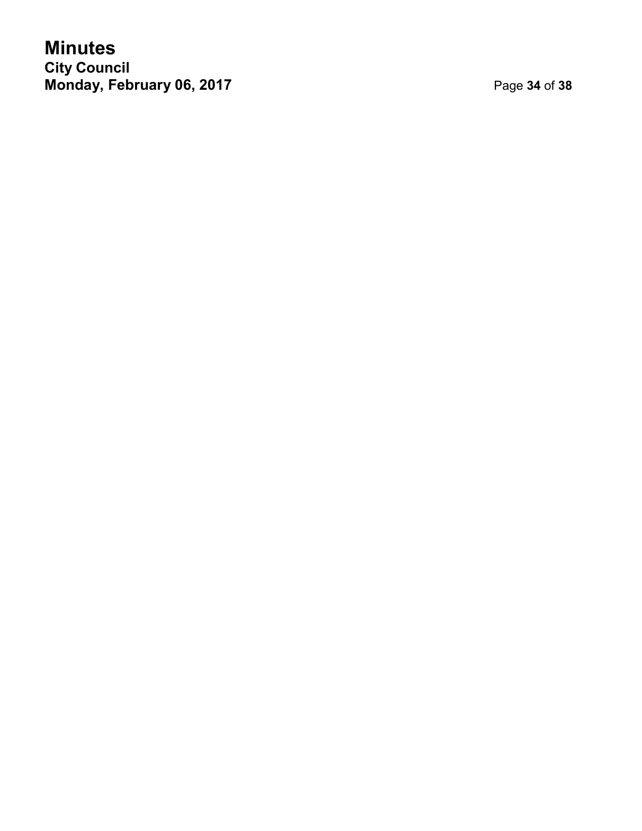**City Council Monday, February 06, 2017 Page 34** of 38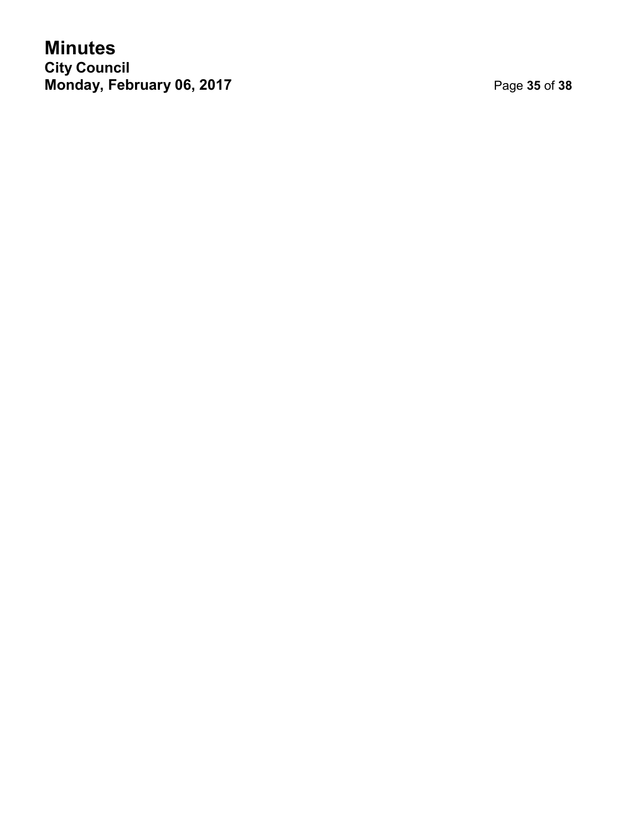**City Council Monday, February 06, 2017** Page **35** of **38**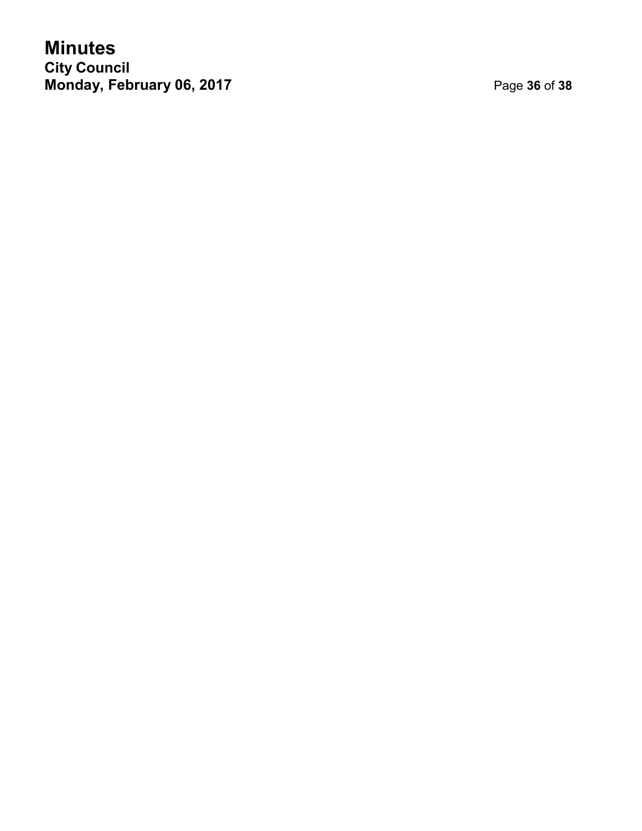**City Council Monday, February 06, 2017** Page **36** of **38**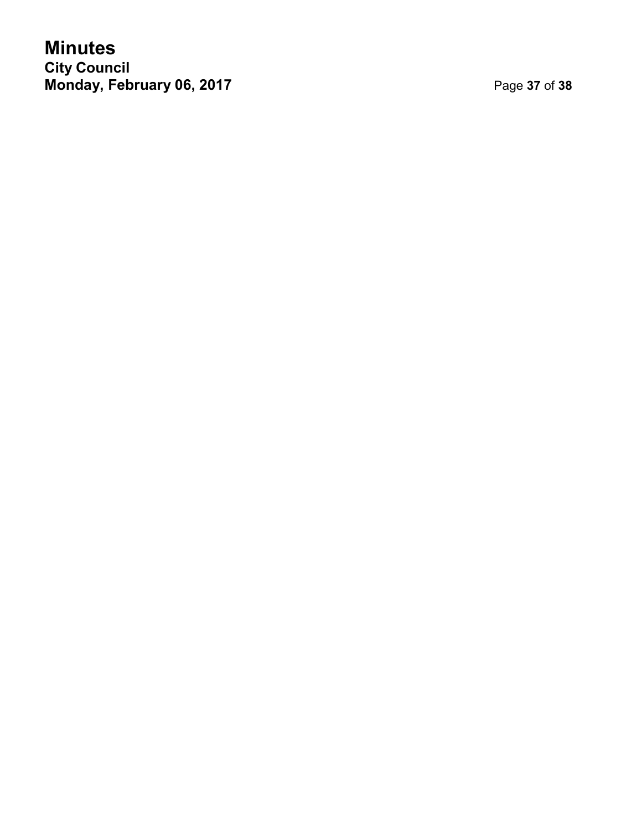**City Council Monday, February 06, 2017** Page **37** of **38**